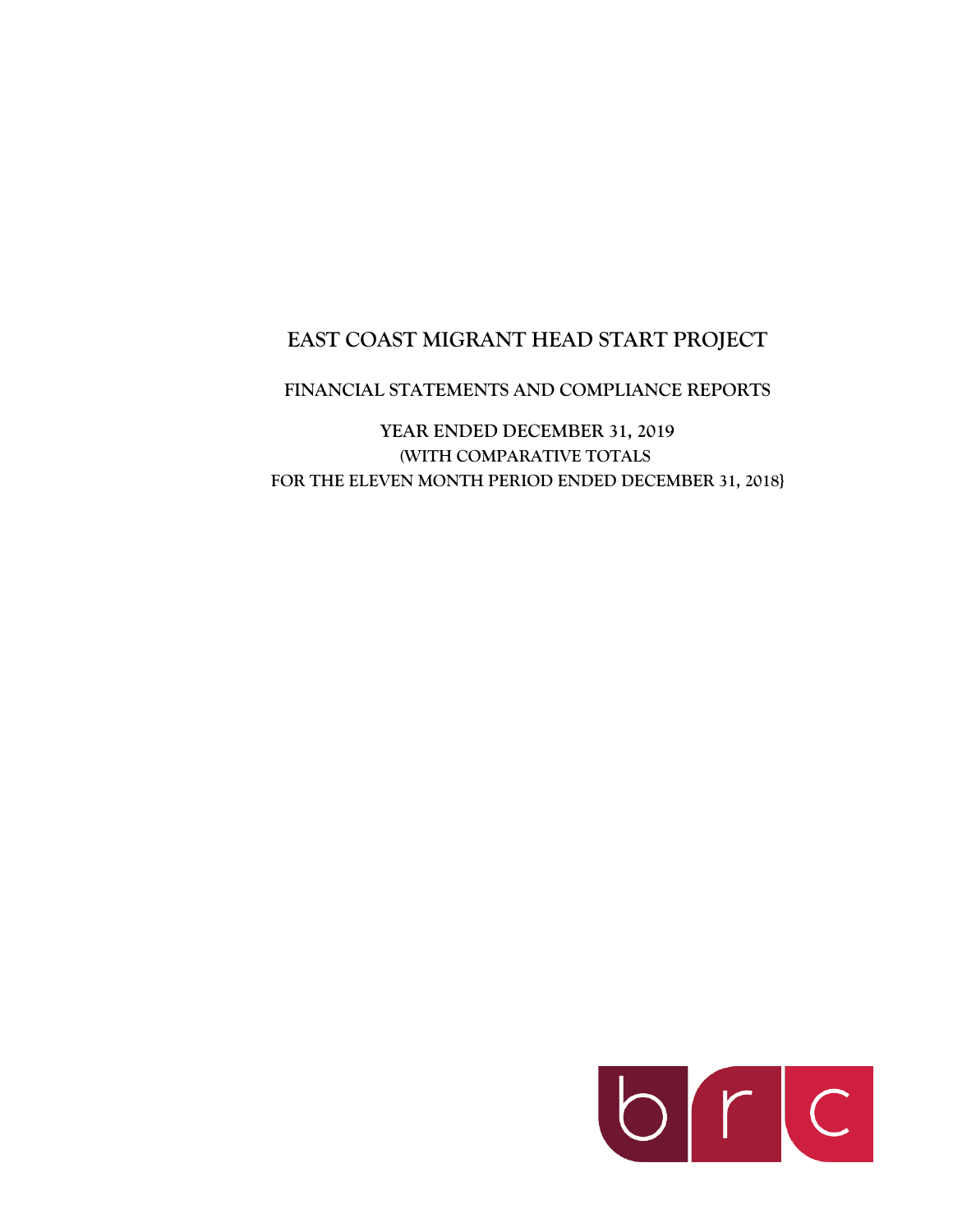# **EAST COAST MIGRANT HEAD START PROJECT**

# **FINANCIAL STATEMENTS AND COMPLIANCE REPORTS**

**YEAR ENDED DECEMBER 31, 2019 (WITH COMPARATIVE TOTALS FOR THE ELEVEN MONTH PERIOD ENDED DECEMBER 31, 2018}**

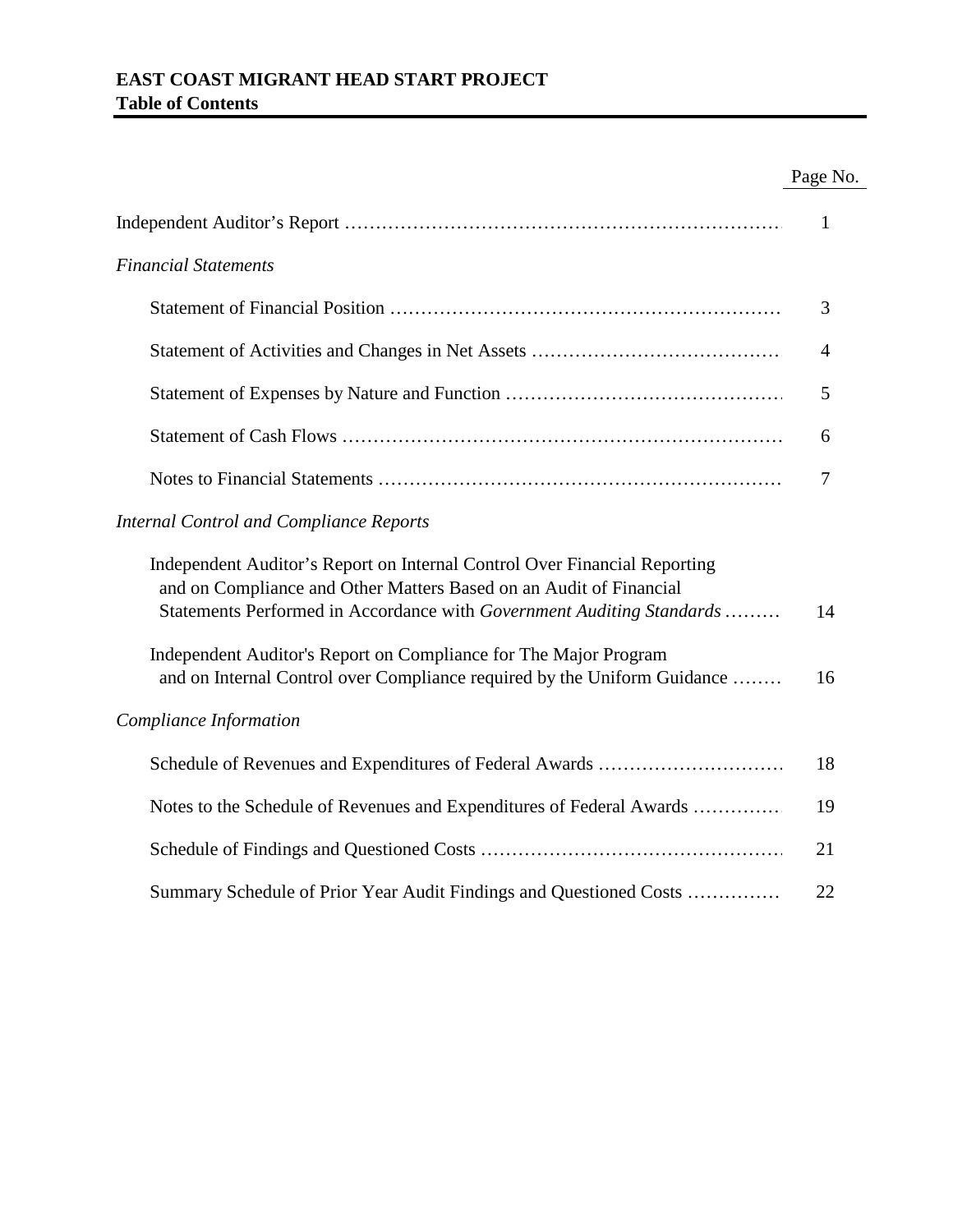# **EAST COAST MIGRANT HEAD START PROJECT Table of Contents**

# Page No.

|                                                                                                                                                                                                                          | $\mathbf{1}$ |
|--------------------------------------------------------------------------------------------------------------------------------------------------------------------------------------------------------------------------|--------------|
| <b>Financial Statements</b>                                                                                                                                                                                              |              |
|                                                                                                                                                                                                                          | 3            |
|                                                                                                                                                                                                                          | 4            |
|                                                                                                                                                                                                                          | 5            |
|                                                                                                                                                                                                                          | 6            |
|                                                                                                                                                                                                                          | 7            |
| <b>Internal Control and Compliance Reports</b>                                                                                                                                                                           |              |
| Independent Auditor's Report on Internal Control Over Financial Reporting<br>and on Compliance and Other Matters Based on an Audit of Financial<br>Statements Performed in Accordance with Government Auditing Standards | 14           |
| Independent Auditor's Report on Compliance for The Major Program<br>and on Internal Control over Compliance required by the Uniform Guidance                                                                             | 16           |
| Compliance Information                                                                                                                                                                                                   |              |
|                                                                                                                                                                                                                          | 18           |
| Notes to the Schedule of Revenues and Expenditures of Federal Awards                                                                                                                                                     | 19           |
|                                                                                                                                                                                                                          | 21           |
| Summary Schedule of Prior Year Audit Findings and Questioned Costs                                                                                                                                                       | 22           |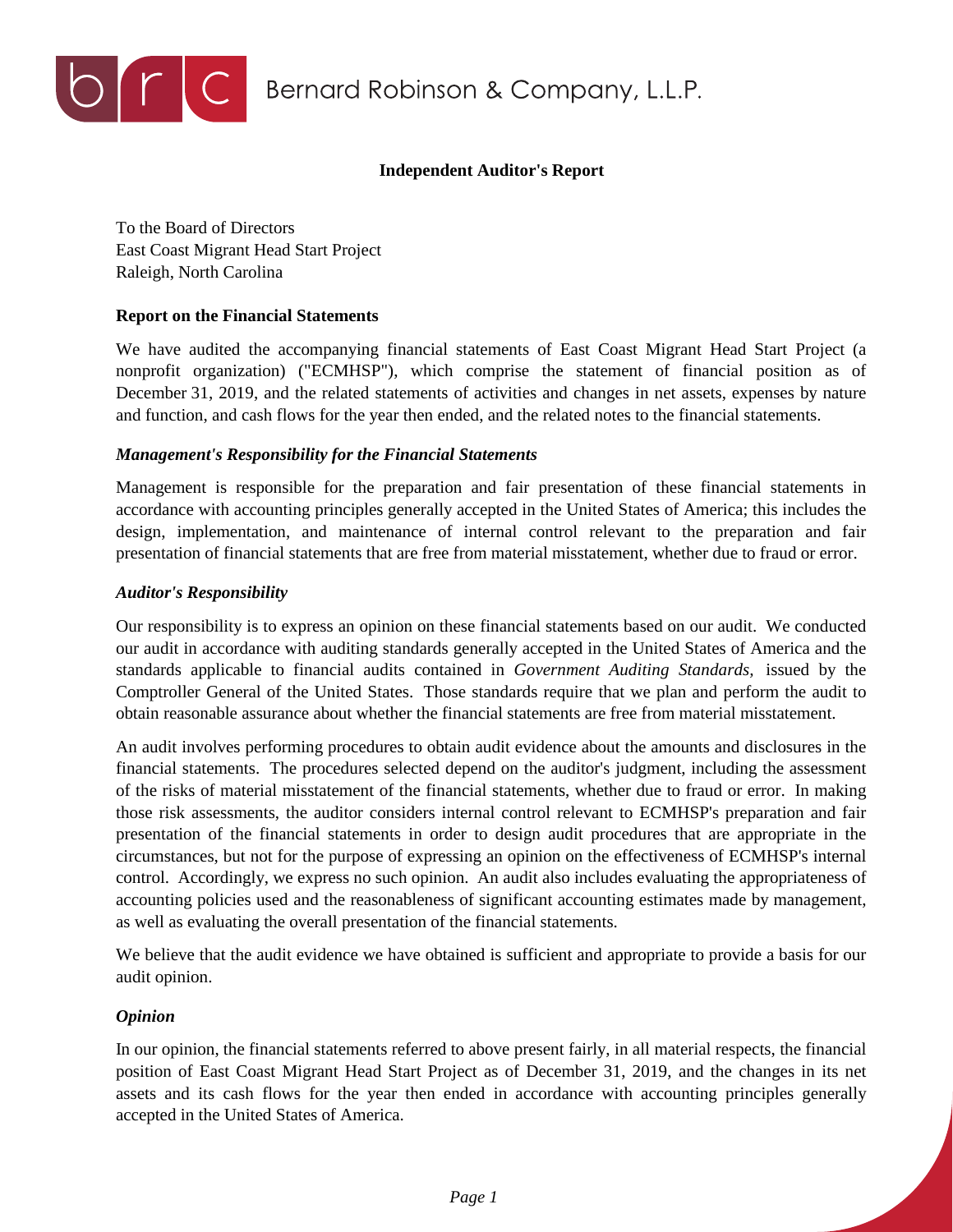

# **Independent Auditor's Report**

To the Board of Directors East Coast Migrant Head Start Project Raleigh, North Carolina

## **Report on the Financial Statements**

We have audited the accompanying financial statements of East Coast Migrant Head Start Project (a nonprofit organization) ("ECMHSP"), which comprise the statement of financial position as of December 31, 2019, and the related statements of activities and changes in net assets, expenses by nature and function, and cash flows for the year then ended, and the related notes to the financial statements.

## *Management's Responsibility for the Financial Statements*

Management is responsible for the preparation and fair presentation of these financial statements in accordance with accounting principles generally accepted in the United States of America; this includes the design, implementation, and maintenance of internal control relevant to the preparation and fair presentation of financial statements that are free from material misstatement, whether due to fraud or error.

## *Auditor's Responsibility*

Our responsibility is to express an opinion on these financial statements based on our audit. We conducted our audit in accordance with auditing standards generally accepted in the United States of America and the standards applicable to financial audits contained in *Government Auditing Standards,* issued by the Comptroller General of the United States. Those standards require that we plan and perform the audit to obtain reasonable assurance about whether the financial statements are free from material misstatement.

An audit involves performing procedures to obtain audit evidence about the amounts and disclosures in the financial statements. The procedures selected depend on the auditor's judgment, including the assessment of the risks of material misstatement of the financial statements, whether due to fraud or error. In making those risk assessments, the auditor considers internal control relevant to ECMHSP's preparation and fair presentation of the financial statements in order to design audit procedures that are appropriate in the circumstances, but not for the purpose of expressing an opinion on the effectiveness of ECMHSP's internal control. Accordingly, we express no such opinion. An audit also includes evaluating the appropriateness of accounting policies used and the reasonableness of significant accounting estimates made by management, as well as evaluating the overall presentation of the financial statements.

We believe that the audit evidence we have obtained is sufficient and appropriate to provide a basis for our audit opinion.

# *Opinion*

In our opinion, the financial statements referred to above present fairly, in all material respects, the financial position of East Coast Migrant Head Start Project as of December 31, 2019, and the changes in its net assets and its cash flows for the year then ended in accordance with accounting principles generally accepted in the United States of America.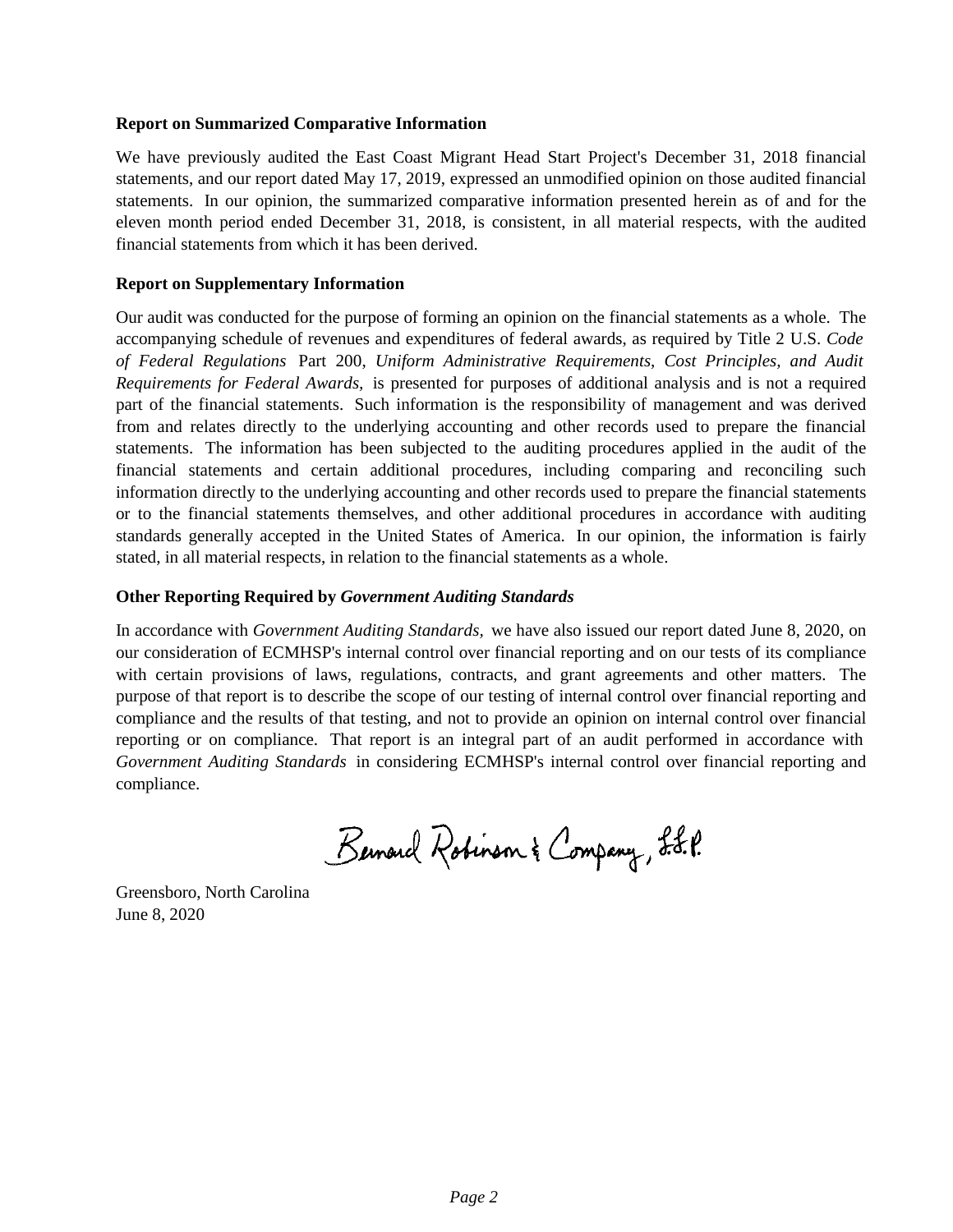### **Report on Summarized Comparative Information**

We have previously audited the East Coast Migrant Head Start Project's December 31, 2018 financial statements, and our report dated May 17, 2019, expressed an unmodified opinion on those audited financial statements. In our opinion, the summarized comparative information presented herein as of and for the eleven month period ended December 31, 2018, is consistent, in all material respects, with the audited financial statements from which it has been derived.

## **Report on Supplementary Information**

Our audit was conducted for the purpose of forming an opinion on the financial statements as a whole. The accompanying schedule of revenues and expenditures of federal awards, as required by Title 2 U.S. *Code of Federal Regulations* Part 200, *Uniform Administrative Requirements, Cost Principles, and Audit Requirements for Federal Awards,* is presented for purposes of additional analysis and is not a required part of the financial statements. Such information is the responsibility of management and was derived from and relates directly to the underlying accounting and other records used to prepare the financial statements. The information has been subjected to the auditing procedures applied in the audit of the financial statements and certain additional procedures, including comparing and reconciling such information directly to the underlying accounting and other records used to prepare the financial statements or to the financial statements themselves, and other additional procedures in accordance with auditing standards generally accepted in the United States of America. In our opinion, the information is fairly stated, in all material respects, in relation to the financial statements as a whole.

# **Other Reporting Required by** *Government Auditing Standards*

In accordance with *Government Auditing Standards,* we have also issued our report dated June 8, 2020, on our consideration of ECMHSP's internal control over financial reporting and on our tests of its compliance with certain provisions of laws, regulations, contracts, and grant agreements and other matters. The purpose of that report is to describe the scope of our testing of internal control over financial reporting and compliance and the results of that testing, and not to provide an opinion on internal control over financial reporting or on compliance. That report is an integral part of an audit performed in accordance with *Government Auditing Standards* in considering ECMHSP's internal control over financial reporting and compliance.

Bernard Robinson & Company, L.L.P.

Greensboro, North Carolina June 8, 2020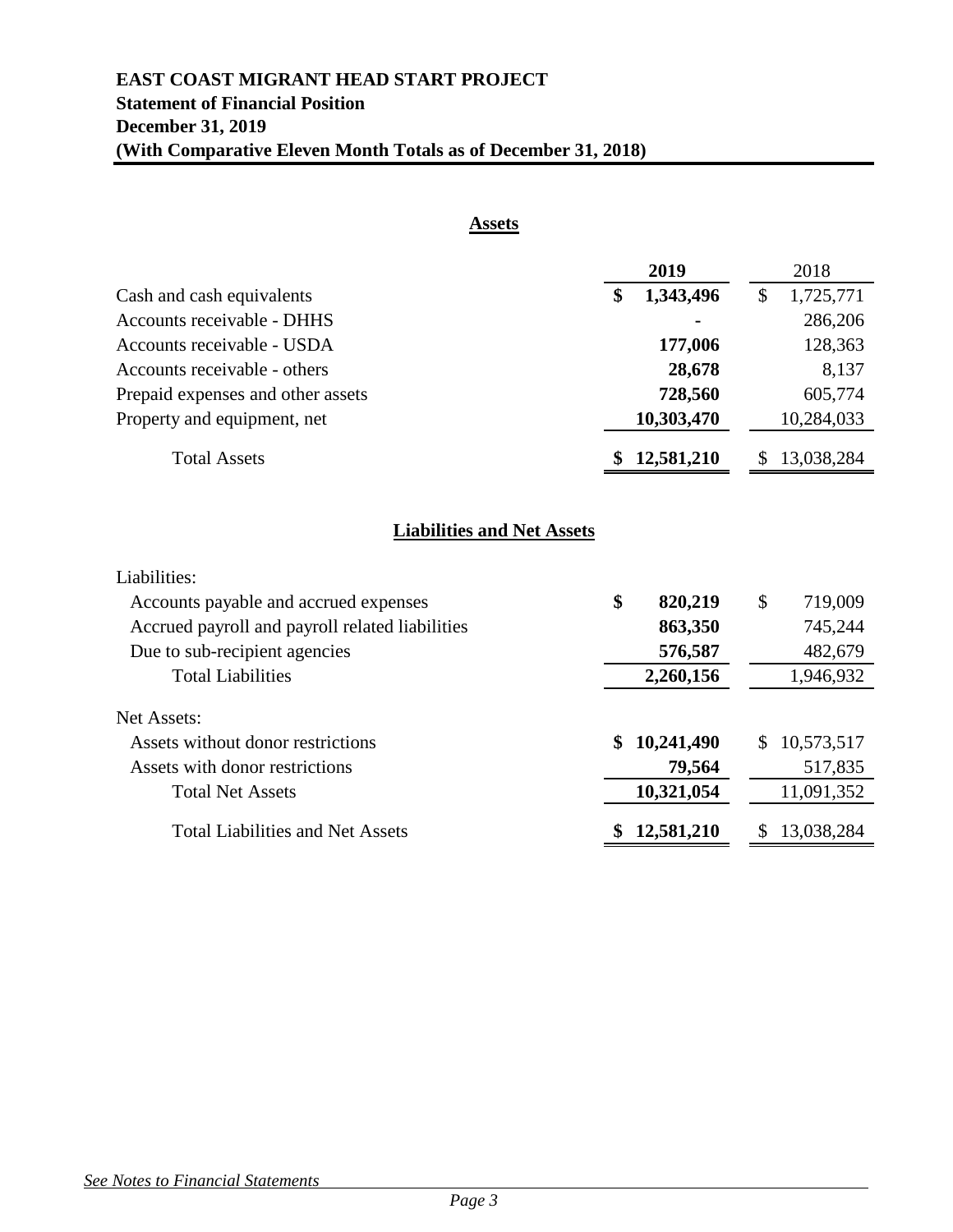# **EAST COAST MIGRANT HEAD START PROJECT Statement of Financial Position December 31, 2019 (With Comparative Eleven Month Totals as of December 31, 2018)**

| <b>Assets</b>                                   |                  |                            |
|-------------------------------------------------|------------------|----------------------------|
|                                                 | 2019             | 2018                       |
| Cash and cash equivalents                       | \$<br>1,343,496  | $\mathcal{S}$<br>1,725,771 |
| <b>Accounts receivable - DHHS</b>               |                  | 286,206                    |
| Accounts receivable - USDA                      | 177,006          | 128,363                    |
| Accounts receivable - others                    | 28,678           | 8,137                      |
| Prepaid expenses and other assets               | 728,560          | 605,774                    |
| Property and equipment, net                     | 10,303,470       | 10,284,033                 |
| <b>Total Assets</b>                             | 12,581,210       | 13,038,284<br><sup>8</sup> |
| <b>Liabilities and Net Assets</b>               |                  |                            |
| Liabilities:                                    |                  |                            |
| Accounts payable and accrued expenses           | \$<br>820,219    | \$<br>719,009              |
| Accrued payroll and payroll related liabilities | 863,350          | 745,244                    |
| Due to sub-recipient agencies                   | 576,587          | 482,679                    |
| <b>Total Liabilities</b>                        | 2,260,156        | 1,946,932                  |
| Net Assets:                                     |                  |                            |
| Assets without donor restrictions               | 10,241,490       | 10,573,517<br>\$           |
| Assets with donor restrictions                  | 79,564           | 517,835                    |
| <b>Total Net Assets</b>                         | 10,321,054       | 11,091,352                 |
| <b>Total Liabilities and Net Assets</b>         | 12,581,210<br>\$ | 13,038,284<br>\$           |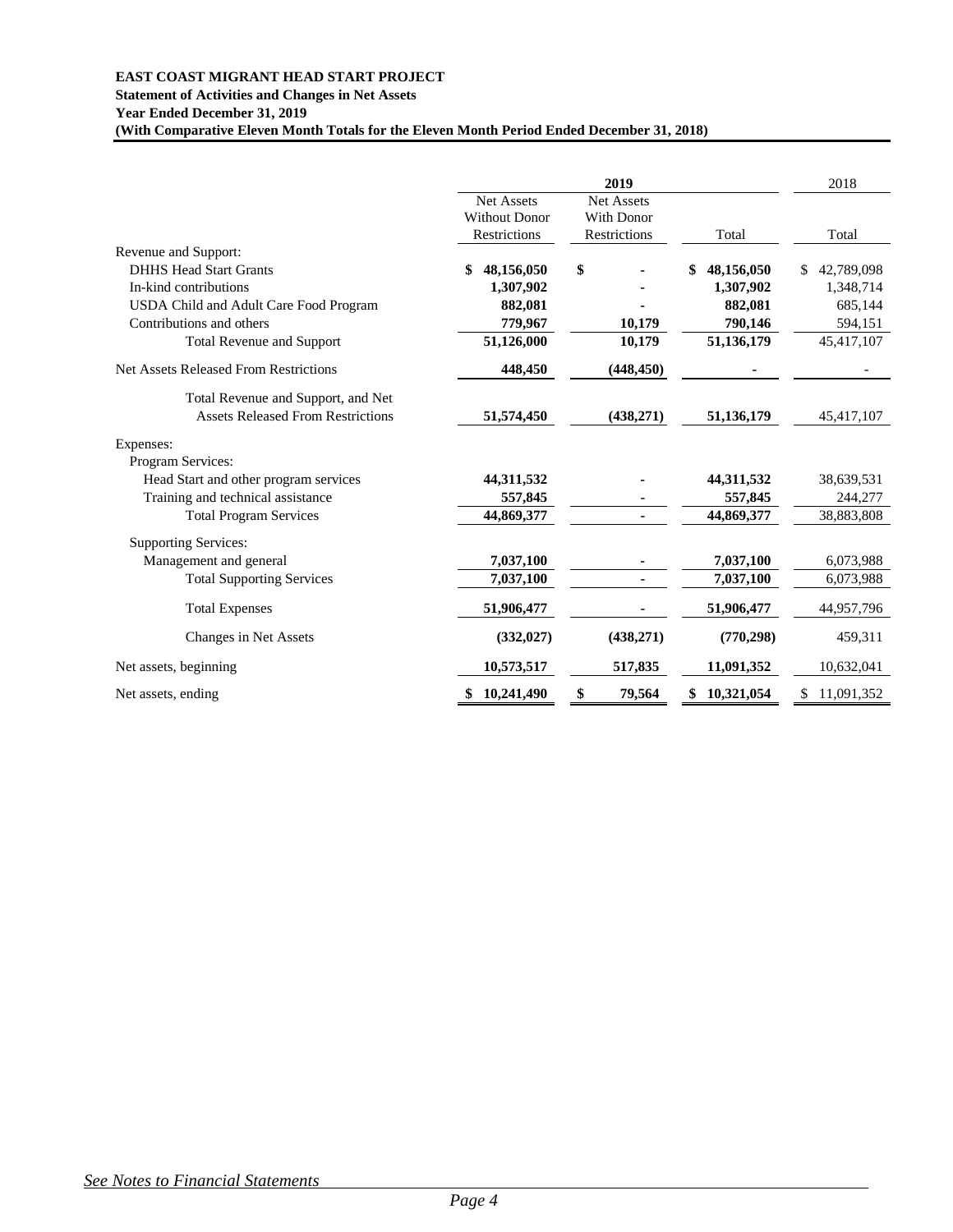#### **EAST COAST MIGRANT HEAD START PROJECT**

**Statement of Activities and Changes in Net Assets Year Ended December 31, 2019**

**(With Comparative Eleven Month Totals for the Eleven Month Period Ended December 31, 2018)**

|                                              |                      | 2019              |                  | 2018             |
|----------------------------------------------|----------------------|-------------------|------------------|------------------|
|                                              | <b>Net Assets</b>    | <b>Net Assets</b> |                  |                  |
|                                              | <b>Without Donor</b> | With Donor        |                  |                  |
|                                              | Restrictions         | Restrictions      | Total            | Total            |
| Revenue and Support:                         |                      |                   |                  |                  |
| <b>DHHS Head Start Grants</b>                | 48,156,050<br>\$     | \$                | \$<br>48,156,050 | \$<br>42,789,098 |
| In-kind contributions                        | 1,307,902            |                   | 1,307,902        | 1,348,714        |
| USDA Child and Adult Care Food Program       | 882,081              |                   | 882,081          | 685,144          |
| Contributions and others                     | 779,967              | 10,179            | 790,146          | 594,151          |
| <b>Total Revenue and Support</b>             | 51,126,000           | 10,179            | 51,136,179       | 45,417,107       |
| <b>Net Assets Released From Restrictions</b> | 448,450              | (448, 450)        |                  |                  |
| Total Revenue and Support, and Net           |                      |                   |                  |                  |
| <b>Assets Released From Restrictions</b>     | 51,574,450           | (438, 271)        | 51,136,179       | 45,417,107       |
| Expenses:                                    |                      |                   |                  |                  |
| Program Services:                            |                      |                   |                  |                  |
| Head Start and other program services        | 44,311,532           |                   | 44,311,532       | 38,639,531       |
| Training and technical assistance            | 557,845              |                   | 557,845          | 244,277          |
| <b>Total Program Services</b>                | 44,869,377           |                   | 44,869,377       | 38,883,808       |
| <b>Supporting Services:</b>                  |                      |                   |                  |                  |
| Management and general                       | 7,037,100            |                   | 7,037,100        | 6,073,988        |
| <b>Total Supporting Services</b>             | 7,037,100            |                   | 7,037,100        | 6,073,988        |
| <b>Total Expenses</b>                        | 51,906,477           |                   | 51,906,477       | 44,957,796       |
| Changes in Net Assets                        | (332, 027)           | (438, 271)        | (770, 298)       | 459,311          |
| Net assets, beginning                        | 10,573,517           | 517,835           | 11,091,352       | 10,632,041       |
| Net assets, ending                           | 10,241,490<br>\$     | \$<br>79,564      | 10,321,054<br>\$ | \$<br>11,091,352 |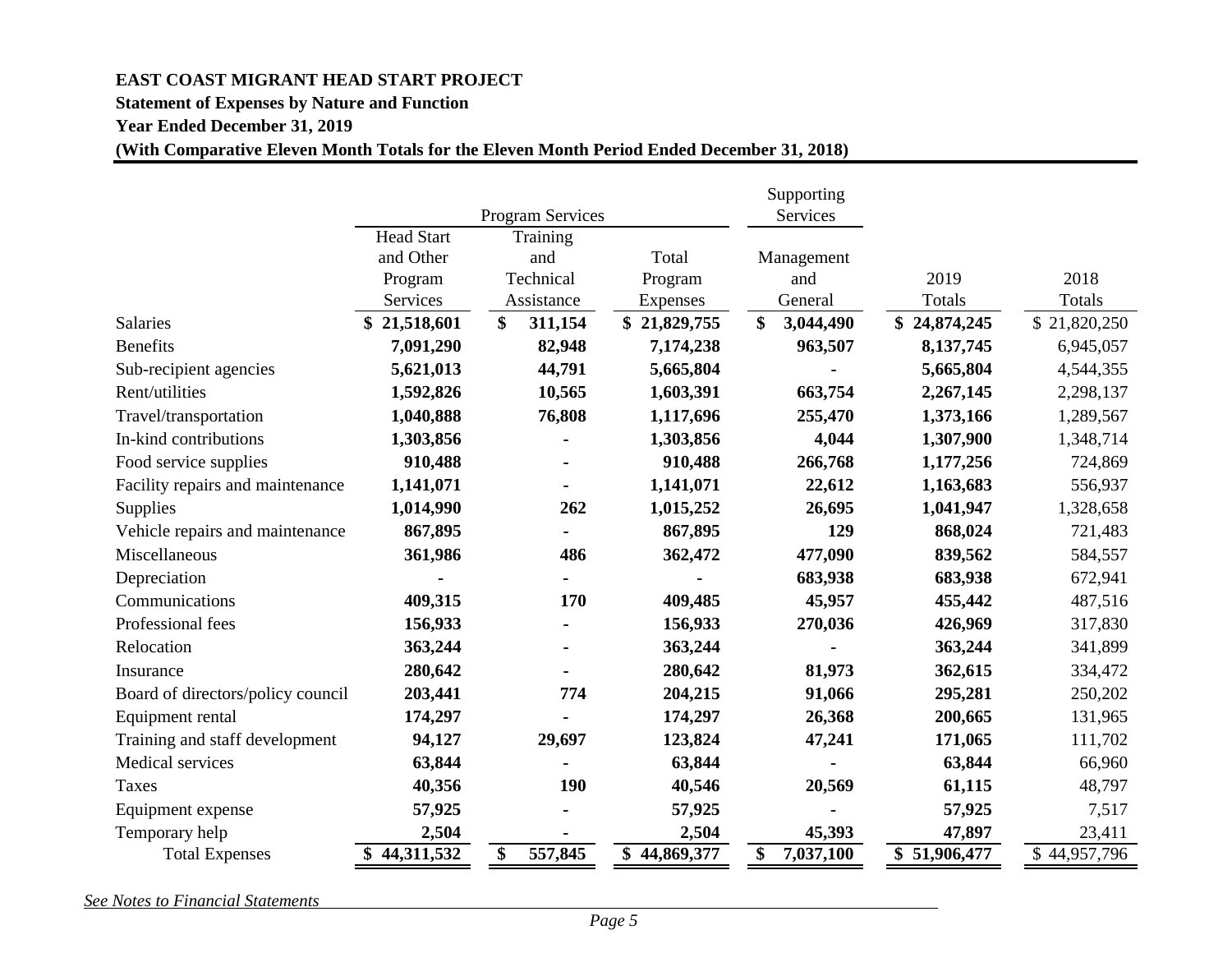# **EAST COAST MIGRANT HEAD START PROJECT**

## **Statement of Expenses by Nature and Function**

**Year Ended December 31, 2019**

# **(With Comparative Eleven Month Totals for the Eleven Month Period Ended December 31, 2018)**

|                                   |                   |                         |              | Supporting      |              |              |
|-----------------------------------|-------------------|-------------------------|--------------|-----------------|--------------|--------------|
|                                   |                   | <b>Program Services</b> |              | Services        |              |              |
|                                   | <b>Head Start</b> | Training                |              |                 |              |              |
|                                   | and Other         | and                     | Total        | Management      |              |              |
|                                   | Program           | Technical               | Program      | and             | 2019         | 2018         |
|                                   | Services          | Assistance              | Expenses     | General         | Totals       | Totals       |
| <b>Salaries</b>                   | 21,518,601        | \$<br>311,154           | \$21,829,755 | \$<br>3,044,490 | \$24,874,245 | \$21,820,250 |
| <b>Benefits</b>                   | 7,091,290         | 82,948                  | 7,174,238    | 963,507         | 8,137,745    | 6,945,057    |
| Sub-recipient agencies            | 5,621,013         | 44,791                  | 5,665,804    |                 | 5,665,804    | 4,544,355    |
| Rent/utilities                    | 1,592,826         | 10,565                  | 1,603,391    | 663,754         | 2,267,145    | 2,298,137    |
| Travel/transportation             | 1,040,888         | 76,808                  | 1,117,696    | 255,470         | 1,373,166    | 1,289,567    |
| In-kind contributions             | 1,303,856         |                         | 1,303,856    | 4,044           | 1,307,900    | 1,348,714    |
| Food service supplies             | 910,488           | ۰                       | 910,488      | 266,768         | 1,177,256    | 724,869      |
| Facility repairs and maintenance  | 1,141,071         |                         | 1,141,071    | 22,612          | 1,163,683    | 556,937      |
| <b>Supplies</b>                   | 1,014,990         | 262                     | 1,015,252    | 26,695          | 1,041,947    | 1,328,658    |
| Vehicle repairs and maintenance   | 867,895           |                         | 867,895      | 129             | 868,024      | 721,483      |
| Miscellaneous                     | 361,986           | 486                     | 362,472      | 477,090         | 839,562      | 584,557      |
| Depreciation                      |                   |                         |              | 683,938         | 683,938      | 672,941      |
| Communications                    | 409,315           | 170                     | 409,485      | 45,957          | 455,442      | 487,516      |
| Professional fees                 | 156,933           |                         | 156,933      | 270,036         | 426,969      | 317,830      |
| Relocation                        | 363,244           |                         | 363,244      |                 | 363,244      | 341,899      |
| Insurance                         | 280,642           |                         | 280,642      | 81,973          | 362,615      | 334,472      |
| Board of directors/policy council | 203,441           | 774                     | 204,215      | 91,066          | 295,281      | 250,202      |
| Equipment rental                  | 174,297           |                         | 174,297      | 26,368          | 200,665      | 131,965      |
| Training and staff development    | 94,127            | 29,697                  | 123,824      | 47,241          | 171,065      | 111,702      |
| Medical services                  | 63,844            |                         | 63,844       |                 | 63,844       | 66,960       |
| <b>Taxes</b>                      | 40,356            | 190                     | 40,546       | 20,569          | 61,115       | 48,797       |
| Equipment expense                 | 57,925            |                         | 57,925       |                 | 57,925       | 7,517        |
| Temporary help                    | 2,504             |                         | 2,504        | 45,393          | 47,897       | 23,411       |
| <b>Total Expenses</b>             | \$44,311,532      | \$<br>557,845           | \$44,869,377 | \$<br>7,037,100 | \$51,906,477 | \$44,957,796 |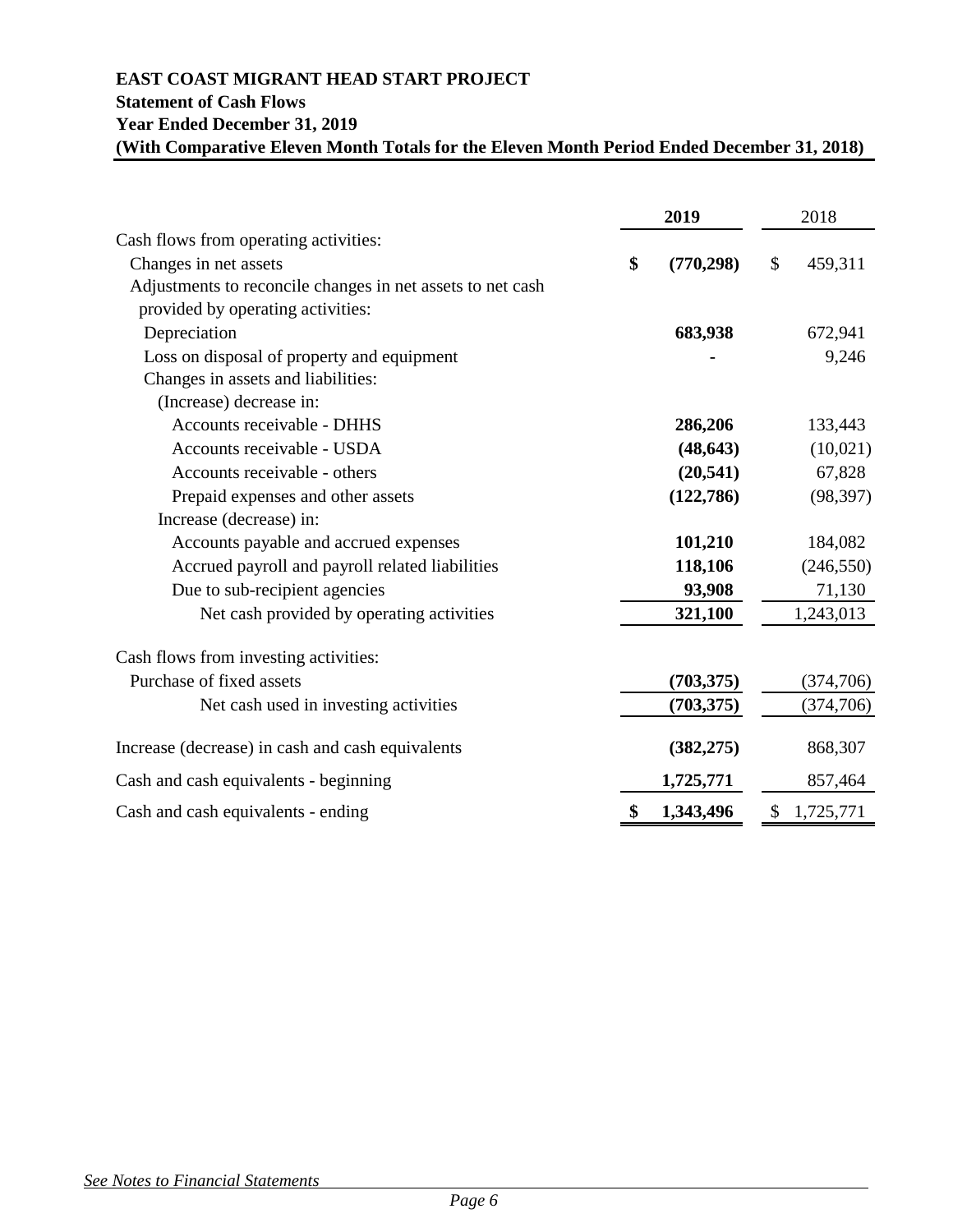# **EAST COAST MIGRANT HEAD START PROJECT Statement of Cash Flows Year Ended December 31, 2019 (With Comparative Eleven Month Totals for the Eleven Month Period Ended December 31, 2018)**

|                                                            | 2019             | 2018            |
|------------------------------------------------------------|------------------|-----------------|
| Cash flows from operating activities:                      |                  |                 |
| Changes in net assets                                      | \$<br>(770, 298) | \$<br>459,311   |
| Adjustments to reconcile changes in net assets to net cash |                  |                 |
| provided by operating activities:                          |                  |                 |
| Depreciation                                               | 683,938          | 672,941         |
| Loss on disposal of property and equipment                 |                  | 9,246           |
| Changes in assets and liabilities:                         |                  |                 |
| (Increase) decrease in:                                    |                  |                 |
| Accounts receivable - DHHS                                 | 286,206          | 133,443         |
| Accounts receivable - USDA                                 | (48, 643)        | (10,021)        |
| Accounts receivable - others                               | (20, 541)        | 67,828          |
| Prepaid expenses and other assets                          | (122,786)        | (98, 397)       |
| Increase (decrease) in:                                    |                  |                 |
| Accounts payable and accrued expenses                      | 101,210          | 184,082         |
| Accrued payroll and payroll related liabilities            | 118,106          | (246, 550)      |
| Due to sub-recipient agencies                              | 93,908           | 71,130          |
| Net cash provided by operating activities                  | 321,100          | 1,243,013       |
| Cash flows from investing activities:                      |                  |                 |
| Purchase of fixed assets                                   | (703, 375)       | (374, 706)      |
| Net cash used in investing activities                      | (703, 375)       | (374, 706)      |
| Increase (decrease) in cash and cash equivalents           | (382, 275)       | 868,307         |
| Cash and cash equivalents - beginning                      | 1,725,771        | 857,464         |
| Cash and cash equivalents - ending                         | \$<br>1,343,496  | \$<br>1,725,771 |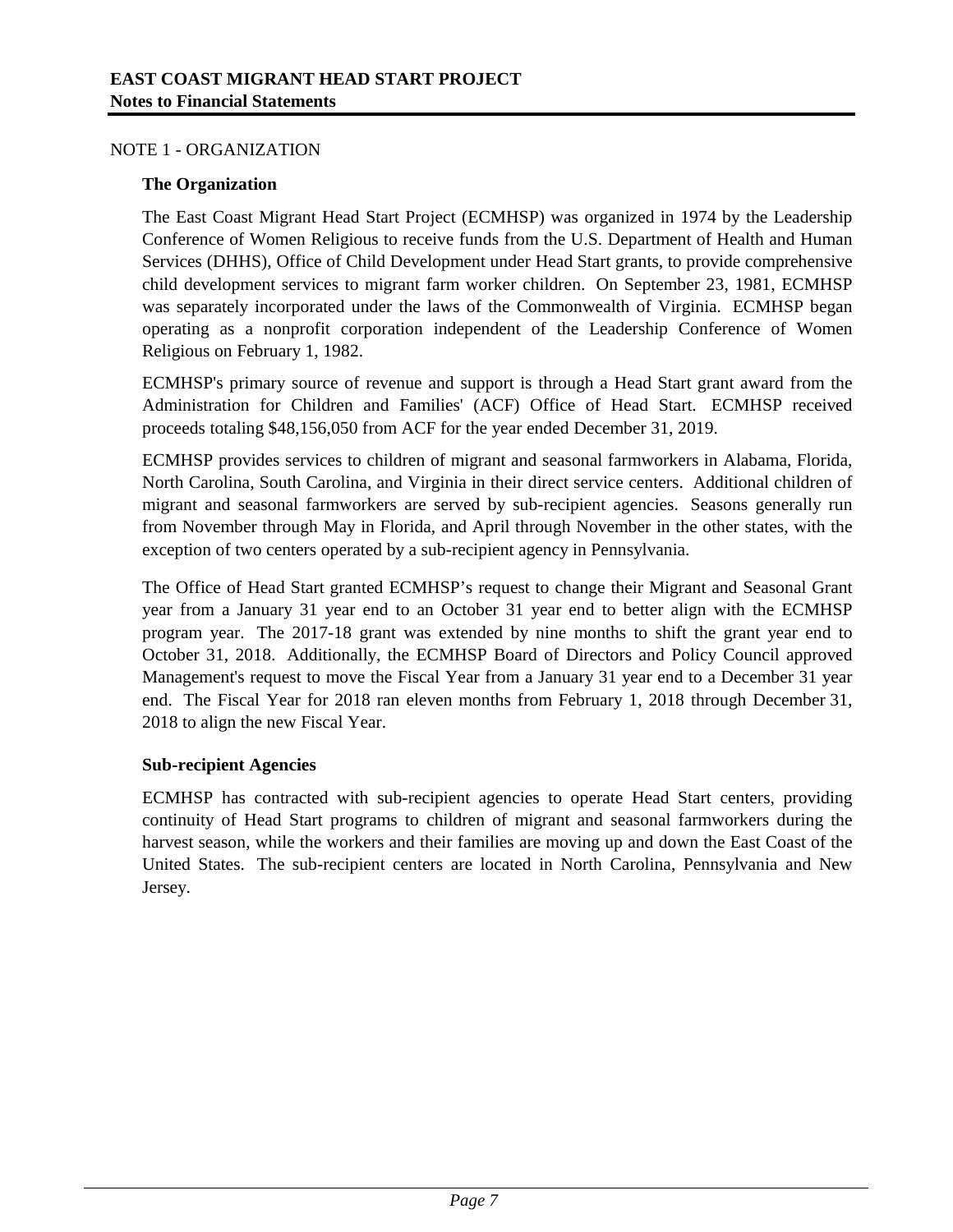## NOTE 1 - ORGANIZATION

## **The Organization**

The East Coast Migrant Head Start Project (ECMHSP) was organized in 1974 by the Leadership Conference of Women Religious to receive funds from the U.S. Department of Health and Human Services (DHHS), Office of Child Development under Head Start grants, to provide comprehensive child development services to migrant farm worker children. On September 23, 1981, ECMHSP was separately incorporated under the laws of the Commonwealth of Virginia. ECMHSP began operating as a nonprofit corporation independent of the Leadership Conference of Women Religious on February 1, 1982.

ECMHSP's primary source of revenue and support is through a Head Start grant award from the Administration for Children and Families' (ACF) Office of Head Start. ECMHSP received proceeds totaling \$48,156,050 from ACF for the year ended December 31, 2019.

ECMHSP provides services to children of migrant and seasonal farmworkers in Alabama, Florida, North Carolina, South Carolina, and Virginia in their direct service centers. Additional children of migrant and seasonal farmworkers are served by sub-recipient agencies. Seasons generally run from November through May in Florida, and April through November in the other states, with the exception of two centers operated by a sub-recipient agency in Pennsylvania.

The Office of Head Start granted ECMHSP's request to change their Migrant and Seasonal Grant year from a January 31 year end to an October 31 year end to better align with the ECMHSP program year. The 2017-18 grant was extended by nine months to shift the grant year end to October 31, 2018. Additionally, the ECMHSP Board of Directors and Policy Council approved Management's request to move the Fiscal Year from a January 31 year end to a December 31 year end. The Fiscal Year for 2018 ran eleven months from February 1, 2018 through December 31, 2018 to align the new Fiscal Year.

# **Sub-recipient Agencies**

ECMHSP has contracted with sub-recipient agencies to operate Head Start centers, providing continuity of Head Start programs to children of migrant and seasonal farmworkers during the harvest season, while the workers and their families are moving up and down the East Coast of the United States. The sub-recipient centers are located in North Carolina, Pennsylvania and New Jersey.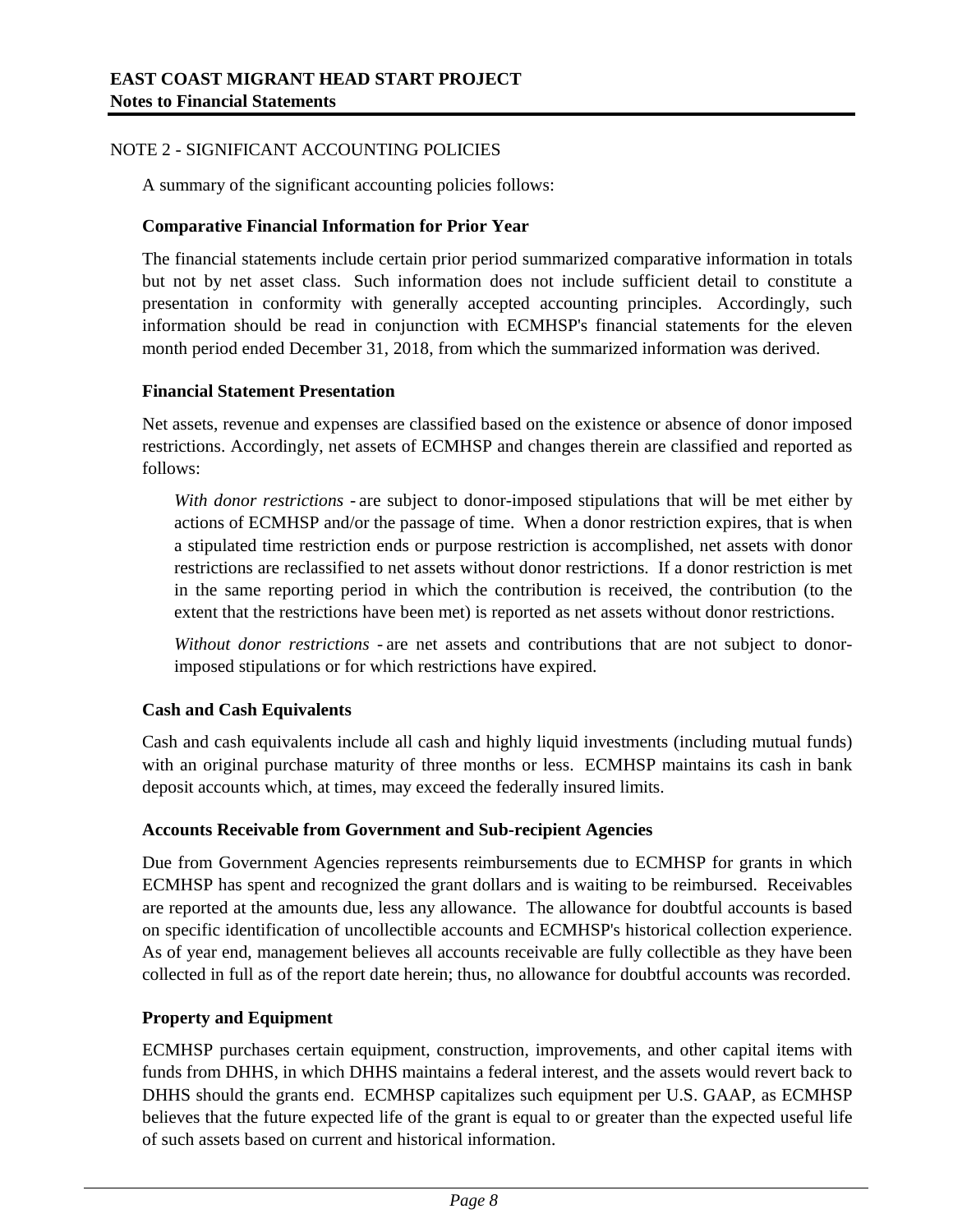# NOTE 2 - SIGNIFICANT ACCOUNTING POLICIES

A summary of the significant accounting policies follows:

## **Comparative Financial Information for Prior Year**

The financial statements include certain prior period summarized comparative information in totals but not by net asset class. Such information does not include sufficient detail to constitute a presentation in conformity with generally accepted accounting principles. Accordingly, such information should be read in conjunction with ECMHSP's financial statements for the eleven month period ended December 31, 2018, from which the summarized information was derived.

## **Financial Statement Presentation**

Net assets, revenue and expenses are classified based on the existence or absence of donor imposed restrictions. Accordingly, net assets of ECMHSP and changes therein are classified and reported as follows:

*With donor restrictions -* are subject to donor-imposed stipulations that will be met either by actions of ECMHSP and/or the passage of time. When a donor restriction expires, that is when a stipulated time restriction ends or purpose restriction is accomplished, net assets with donor restrictions are reclassified to net assets without donor restrictions. If a donor restriction is met in the same reporting period in which the contribution is received, the contribution (to the extent that the restrictions have been met) is reported as net assets without donor restrictions.

*Without donor restrictions -* are net assets and contributions that are not subject to donorimposed stipulations or for which restrictions have expired.

# **Cash and Cash Equivalents**

Cash and cash equivalents include all cash and highly liquid investments (including mutual funds) with an original purchase maturity of three months or less. ECMHSP maintains its cash in bank deposit accounts which, at times, may exceed the federally insured limits.

#### **Accounts Receivable from Government and Sub-recipient Agencies**

Due from Government Agencies represents reimbursements due to ECMHSP for grants in which ECMHSP has spent and recognized the grant dollars and is waiting to be reimbursed. Receivables are reported at the amounts due, less any allowance. The allowance for doubtful accounts is based on specific identification of uncollectible accounts and ECMHSP's historical collection experience. As of year end, management believes all accounts receivable are fully collectible as they have been collected in full as of the report date herein; thus, no allowance for doubtful accounts was recorded.

# **Property and Equipment**

ECMHSP purchases certain equipment, construction, improvements, and other capital items with funds from DHHS, in which DHHS maintains a federal interest, and the assets would revert back to DHHS should the grants end. ECMHSP capitalizes such equipment per U.S. GAAP, as ECMHSP believes that the future expected life of the grant is equal to or greater than the expected useful life of such assets based on current and historical information.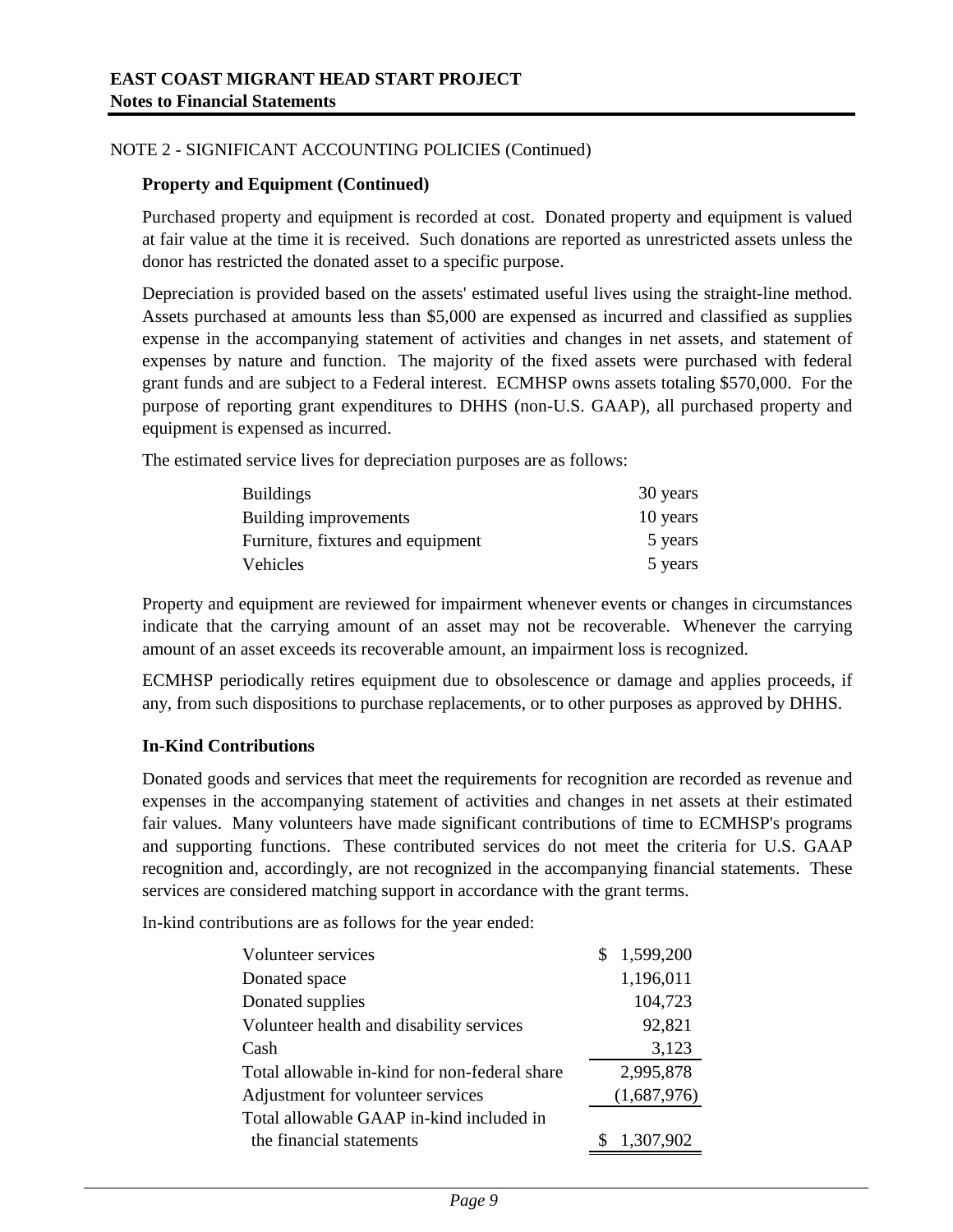# NOTE 2 - SIGNIFICANT ACCOUNTING POLICIES (Continued)

### **Property and Equipment (Continued)**

Purchased property and equipment is recorded at cost. Donated property and equipment is valued at fair value at the time it is received. Such donations are reported as unrestricted assets unless the donor has restricted the donated asset to a specific purpose.

Depreciation is provided based on the assets' estimated useful lives using the straight-line method. Assets purchased at amounts less than \$5,000 are expensed as incurred and classified as supplies expense in the accompanying statement of activities and changes in net assets, and statement of expenses by nature and function. The majority of the fixed assets were purchased with federal grant funds and are subject to a Federal interest. ECMHSP owns assets totaling \$570,000. For the purpose of reporting grant expenditures to DHHS (non-U.S. GAAP), all purchased property and equipment is expensed as incurred.

The estimated service lives for depreciation purposes are as follows:

| <b>Buildings</b>                  | 30 years |
|-----------------------------------|----------|
| Building improvements             | 10 years |
| Furniture, fixtures and equipment | 5 years  |
| Vehicles                          | 5 years  |

Property and equipment are reviewed for impairment whenever events or changes in circumstances indicate that the carrying amount of an asset may not be recoverable. Whenever the carrying amount of an asset exceeds its recoverable amount, an impairment loss is recognized.

ECMHSP periodically retires equipment due to obsolescence or damage and applies proceeds, if any, from such dispositions to purchase replacements, or to other purposes as approved by DHHS.

# **In-Kind Contributions**

Donated goods and services that meet the requirements for recognition are recorded as revenue and expenses in the accompanying statement of activities and changes in net assets at their estimated fair values. Many volunteers have made significant contributions of time to ECMHSP's programs and supporting functions. These contributed services do not meet the criteria for U.S. GAAP recognition and, accordingly, are not recognized in the accompanying financial statements. These services are considered matching support in accordance with the grant terms.

In-kind contributions are as follows for the year ended:

| Volunteer services                            | 1,599,200   |
|-----------------------------------------------|-------------|
| Donated space                                 | 1,196,011   |
| Donated supplies                              | 104,723     |
| Volunteer health and disability services      | 92,821      |
| Cash                                          | 3,123       |
| Total allowable in-kind for non-federal share | 2,995,878   |
| Adjustment for volunteer services             | (1,687,976) |
| Total allowable GAAP in-kind included in      |             |
| the financial statements                      | 1,307,902   |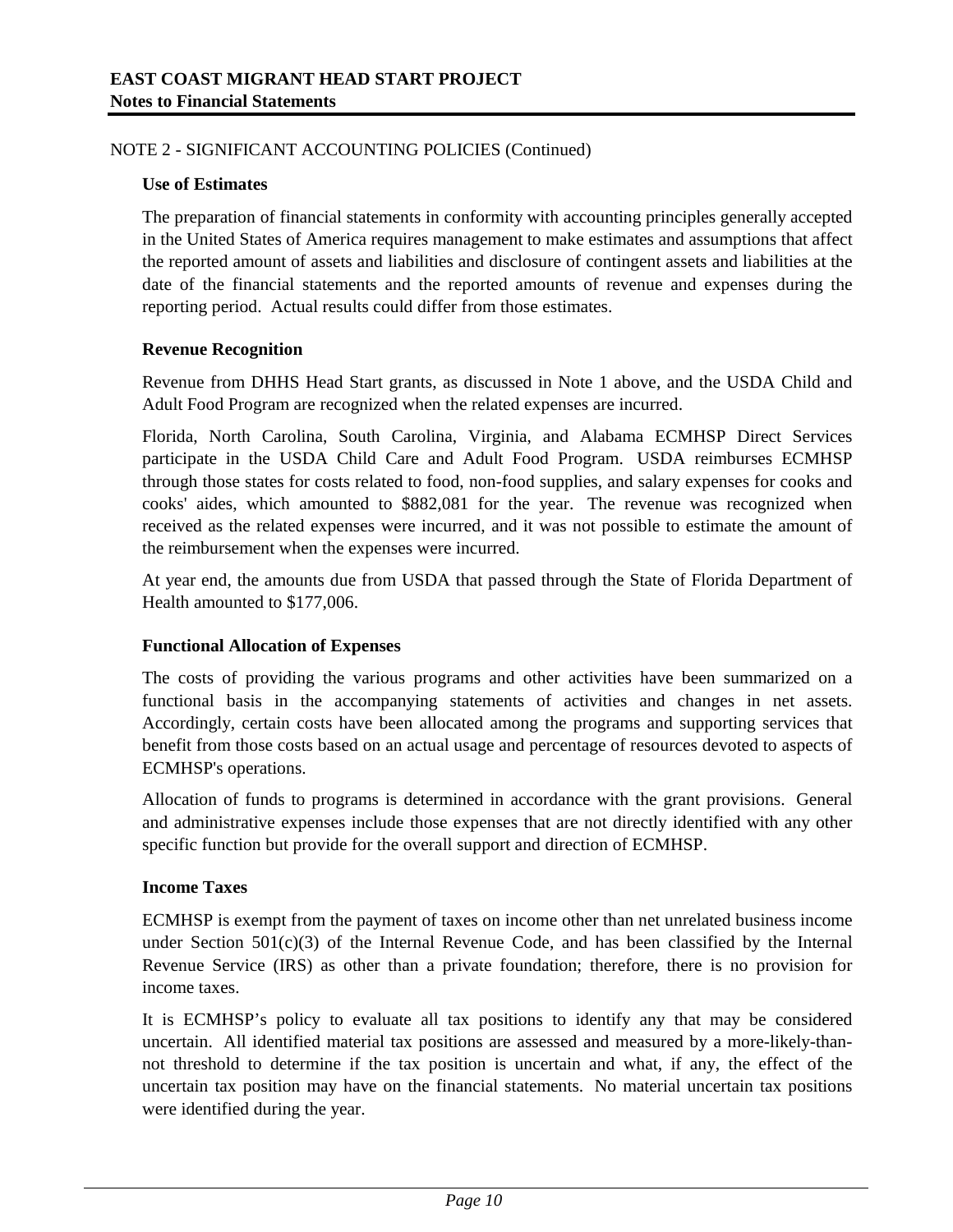# NOTE 2 - SIGNIFICANT ACCOUNTING POLICIES (Continued)

## **Use of Estimates**

The preparation of financial statements in conformity with accounting principles generally accepted in the United States of America requires management to make estimates and assumptions that affect the reported amount of assets and liabilities and disclosure of contingent assets and liabilities at the date of the financial statements and the reported amounts of revenue and expenses during the reporting period. Actual results could differ from those estimates.

# **Revenue Recognition**

Revenue from DHHS Head Start grants, as discussed in Note 1 above, and the USDA Child and Adult Food Program are recognized when the related expenses are incurred.

Florida, North Carolina, South Carolina, Virginia, and Alabama ECMHSP Direct Services participate in the USDA Child Care and Adult Food Program. USDA reimburses ECMHSP through those states for costs related to food, non-food supplies, and salary expenses for cooks and cooks' aides, which amounted to \$882,081 for the year. The revenue was recognized when received as the related expenses were incurred, and it was not possible to estimate the amount of the reimbursement when the expenses were incurred.

At year end, the amounts due from USDA that passed through the State of Florida Department of Health amounted to \$177,006.

# **Functional Allocation of Expenses**

The costs of providing the various programs and other activities have been summarized on a functional basis in the accompanying statements of activities and changes in net assets. Accordingly, certain costs have been allocated among the programs and supporting services that benefit from those costs based on an actual usage and percentage of resources devoted to aspects of ECMHSP's operations.

Allocation of funds to programs is determined in accordance with the grant provisions. General and administrative expenses include those expenses that are not directly identified with any other specific function but provide for the overall support and direction of ECMHSP.

#### **Income Taxes**

ECMHSP is exempt from the payment of taxes on income other than net unrelated business income under Section  $501(c)(3)$  of the Internal Revenue Code, and has been classified by the Internal Revenue Service (IRS) as other than a private foundation; therefore, there is no provision for income taxes.

It is ECMHSP's policy to evaluate all tax positions to identify any that may be considered uncertain. All identified material tax positions are assessed and measured by a more-likely-thannot threshold to determine if the tax position is uncertain and what, if any, the effect of the uncertain tax position may have on the financial statements. No material uncertain tax positions were identified during the year.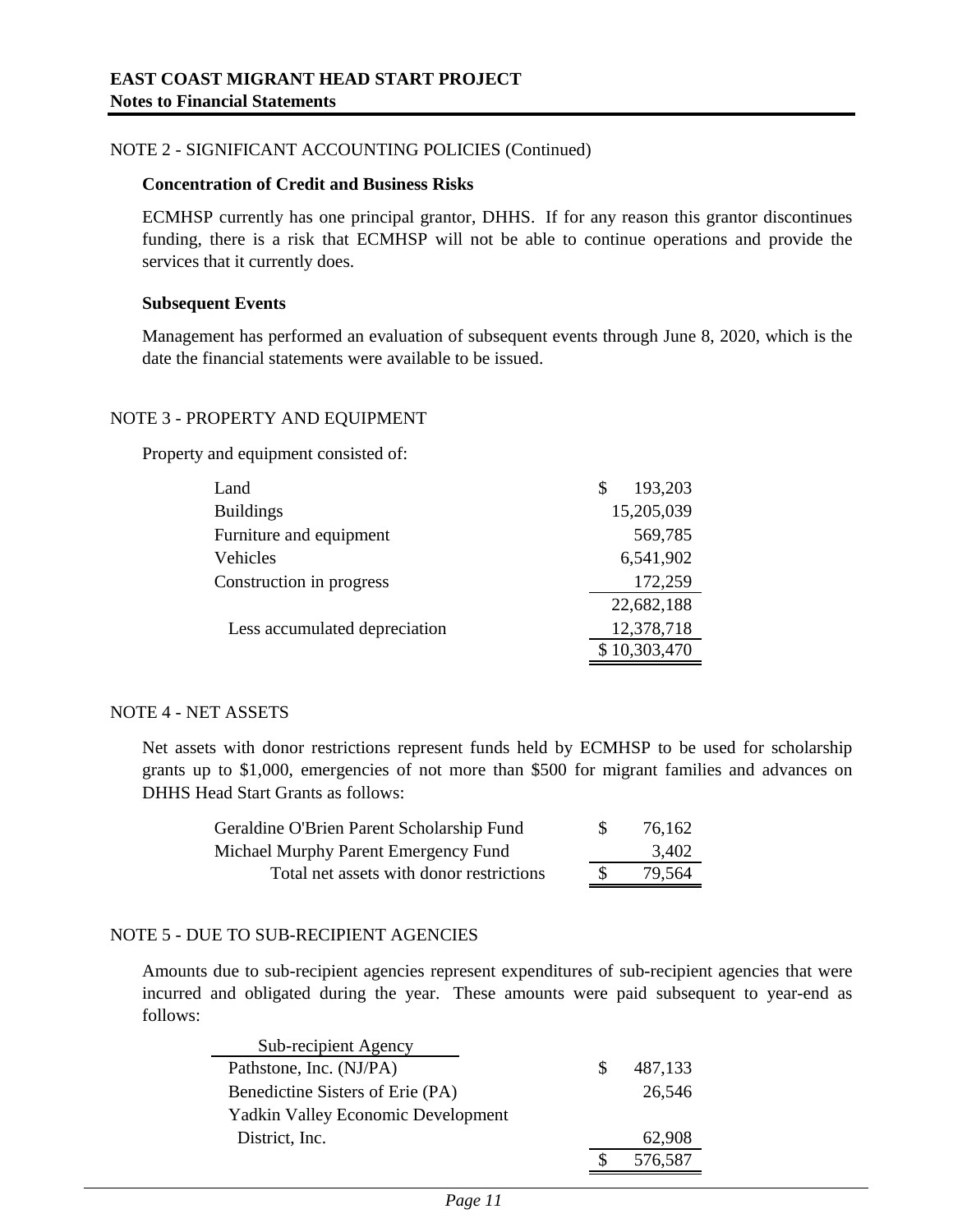## NOTE 2 - SIGNIFICANT ACCOUNTING POLICIES (Continued)

## **Concentration of Credit and Business Risks**

ECMHSP currently has one principal grantor, DHHS. If for any reason this grantor discontinues funding, there is a risk that ECMHSP will not be able to continue operations and provide the services that it currently does.

#### **Subsequent Events**

Management has performed an evaluation of subsequent events through June 8, 2020, which is the date the financial statements were available to be issued.

#### NOTE 3 - PROPERTY AND EQUIPMENT

Property and equipment consisted of:

| Land                          | 193,203<br>\$ |
|-------------------------------|---------------|
| <b>Buildings</b>              | 15,205,039    |
| Furniture and equipment       | 569,785       |
| Vehicles                      | 6,541,902     |
| Construction in progress      | 172,259       |
|                               | 22,682,188    |
| Less accumulated depreciation | 12,378,718    |
|                               | \$10,303,470  |

#### NOTE 4 - NET ASSETS

Net assets with donor restrictions represent funds held by ECMHSP to be used for scholarship grants up to \$1,000, emergencies of not more than \$500 for migrant families and advances on DHHS Head Start Grants as follows:

| Geraldine O'Brien Parent Scholarship Fund | -8 | 76,162 |
|-------------------------------------------|----|--------|
| Michael Murphy Parent Emergency Fund      |    | 3,402  |
| Total net assets with donor restrictions  |    | 79,564 |

#### NOTE 5 - DUE TO SUB-RECIPIENT AGENCIES

Amounts due to sub-recipient agencies represent expenditures of sub-recipient agencies that were incurred and obligated during the year. These amounts were paid subsequent to year-end as follows:

| Sub-recipient Agency                      |         |
|-------------------------------------------|---------|
| Pathstone, Inc. (NJ/PA)                   | 487,133 |
| Benedictine Sisters of Erie (PA)          | 26,546  |
| <b>Yadkin Valley Economic Development</b> |         |
| District, Inc.                            | 62,908  |
|                                           | 576,587 |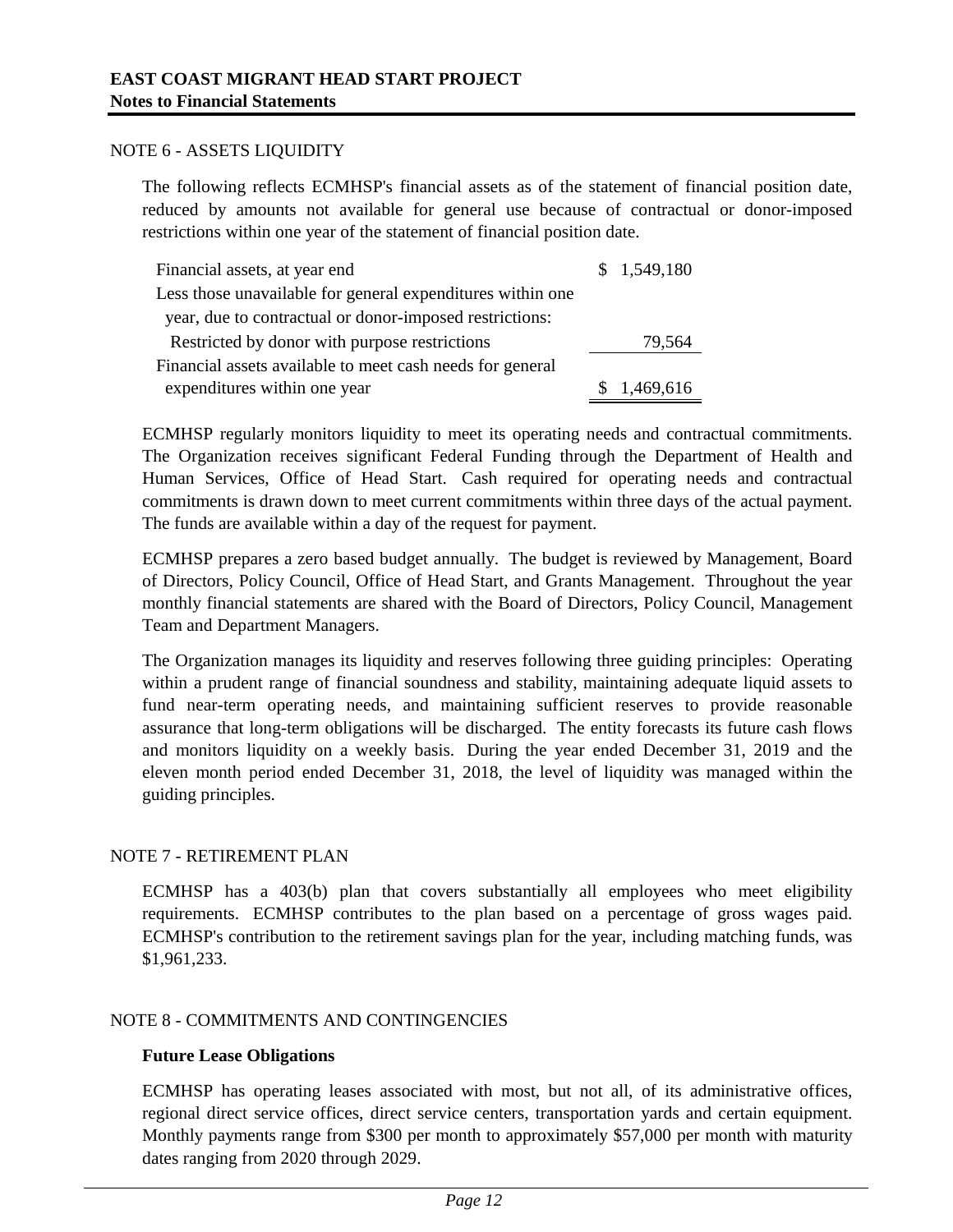#### NOTE 6 - ASSETS LIQUIDITY

The following reflects ECMHSP's financial assets as of the statement of financial position date, reduced by amounts not available for general use because of contractual or donor-imposed restrictions within one year of the statement of financial position date.

| Financial assets, at year end                              | \$1,549,180 |
|------------------------------------------------------------|-------------|
| Less those unavailable for general expenditures within one |             |
| year, due to contractual or donor-imposed restrictions:    |             |
| Restricted by donor with purpose restrictions              | 79,564      |
| Financial assets available to meet cash needs for general  |             |
| expenditures within one year                               | \$1,469,616 |

ECMHSP regularly monitors liquidity to meet its operating needs and contractual commitments. The Organization receives significant Federal Funding through the Department of Health and Human Services, Office of Head Start. Cash required for operating needs and contractual commitments is drawn down to meet current commitments within three days of the actual payment. The funds are available within a day of the request for payment.

ECMHSP prepares a zero based budget annually. The budget is reviewed by Management, Board of Directors, Policy Council, Office of Head Start, and Grants Management. Throughout the year monthly financial statements are shared with the Board of Directors, Policy Council, Management Team and Department Managers.

The Organization manages its liquidity and reserves following three guiding principles: Operating within a prudent range of financial soundness and stability, maintaining adequate liquid assets to fund near-term operating needs, and maintaining sufficient reserves to provide reasonable assurance that long-term obligations will be discharged. The entity forecasts its future cash flows and monitors liquidity on a weekly basis. During the year ended December 31, 2019 and the eleven month period ended December 31, 2018, the level of liquidity was managed within the guiding principles.

# NOTE 7 - RETIREMENT PLAN

ECMHSP has a 403(b) plan that covers substantially all employees who meet eligibility requirements. ECMHSP contributes to the plan based on a percentage of gross wages paid. ECMHSP's contribution to the retirement savings plan for the year, including matching funds, was \$1,961,233.

# NOTE 8 - COMMITMENTS AND CONTINGENCIES

# **Future Lease Obligations**

ECMHSP has operating leases associated with most, but not all, of its administrative offices, regional direct service offices, direct service centers, transportation yards and certain equipment. Monthly payments range from \$300 per month to approximately \$57,000 per month with maturity dates ranging from 2020 through 2029.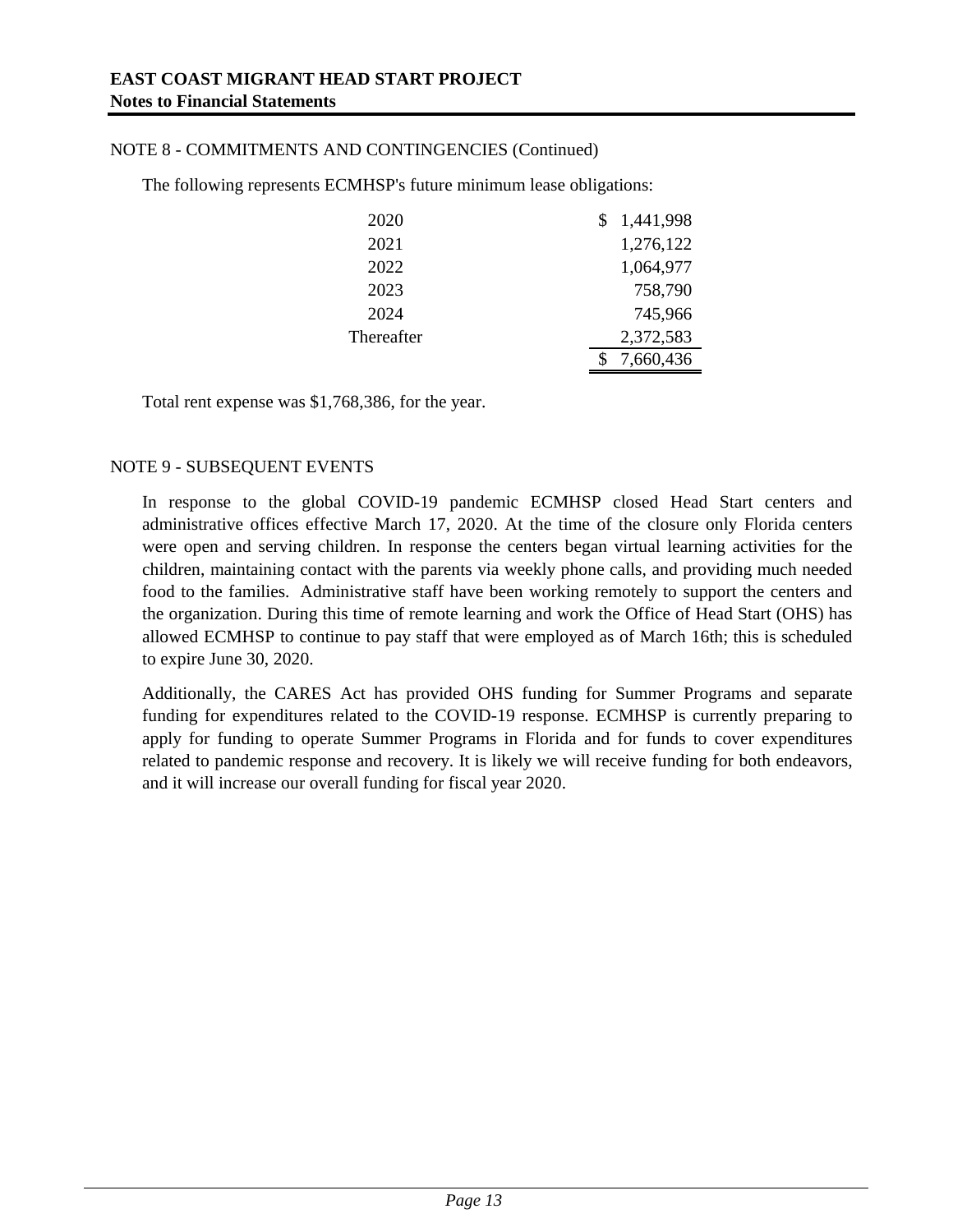# NOTE 8 - COMMITMENTS AND CONTINGENCIES (Continued)

The following represents ECMHSP's future minimum lease obligations:

| 2020       | 1,441,998 |
|------------|-----------|
| 2021       | 1,276,122 |
| 2022       | 1,064,977 |
| 2023       | 758,790   |
| 2024       | 745,966   |
| Thereafter | 2,372,583 |
|            | 7,660,436 |

Total rent expense was \$1,768,386, for the year.

## NOTE 9 - SUBSEQUENT EVENTS

In response to the global COVID-19 pandemic ECMHSP closed Head Start centers and administrative offices effective March 17, 2020. At the time of the closure only Florida centers were open and serving children. In response the centers began virtual learning activities for the children, maintaining contact with the parents via weekly phone calls, and providing much needed food to the families. Administrative staff have been working remotely to support the centers and the organization. During this time of remote learning and work the Office of Head Start (OHS) has allowed ECMHSP to continue to pay staff that were employed as of March 16th; this is scheduled to expire June 30, 2020.

Additionally, the CARES Act has provided OHS funding for Summer Programs and separate funding for expenditures related to the COVID-19 response. ECMHSP is currently preparing to apply for funding to operate Summer Programs in Florida and for funds to cover expenditures related to pandemic response and recovery. It is likely we will receive funding for both endeavors, and it will increase our overall funding for fiscal year 2020.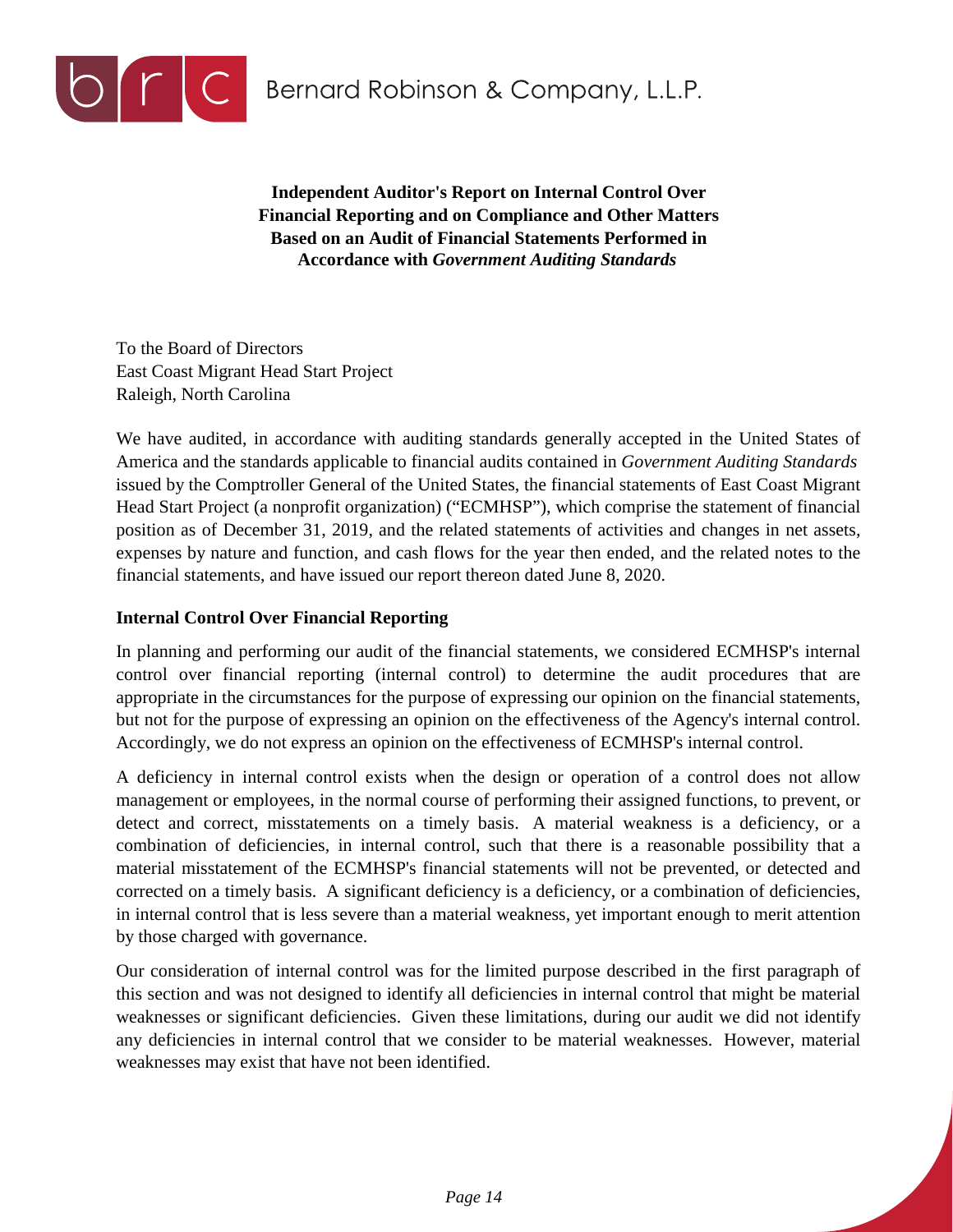

**Independent Auditor's Report on Internal Control Over Financial Reporting and on Compliance and Other Matters Based on an Audit of Financial Statements Performed in Accordance with** *Government Auditing Standards*

To the Board of Directors East Coast Migrant Head Start Project Raleigh, North Carolina

We have audited, in accordance with auditing standards generally accepted in the United States of America and the standards applicable to financial audits contained in *Government Auditing Standards* issued by the Comptroller General of the United States, the financial statements of East Coast Migrant Head Start Project (a nonprofit organization) ("ECMHSP"), which comprise the statement of financial position as of December 31, 2019, and the related statements of activities and changes in net assets, expenses by nature and function, and cash flows for the year then ended, and the related notes to the financial statements, and have issued our report thereon dated June 8, 2020.

# **Internal Control Over Financial Reporting**

In planning and performing our audit of the financial statements, we considered ECMHSP's internal control over financial reporting (internal control) to determine the audit procedures that are appropriate in the circumstances for the purpose of expressing our opinion on the financial statements, but not for the purpose of expressing an opinion on the effectiveness of the Agency's internal control. Accordingly, we do not express an opinion on the effectiveness of ECMHSP's internal control.

A deficiency in internal control exists when the design or operation of a control does not allow management or employees, in the normal course of performing their assigned functions, to prevent, or detect and correct, misstatements on a timely basis. A material weakness is a deficiency, or a combination of deficiencies, in internal control, such that there is a reasonable possibility that a material misstatement of the ECMHSP's financial statements will not be prevented, or detected and corrected on a timely basis. A significant deficiency is a deficiency, or a combination of deficiencies, in internal control that is less severe than a material weakness, yet important enough to merit attention by those charged with governance.

Our consideration of internal control was for the limited purpose described in the first paragraph of this section and was not designed to identify all deficiencies in internal control that might be material weaknesses or significant deficiencies. Given these limitations, during our audit we did not identify any deficiencies in internal control that we consider to be material weaknesses. However, material weaknesses may exist that have not been identified.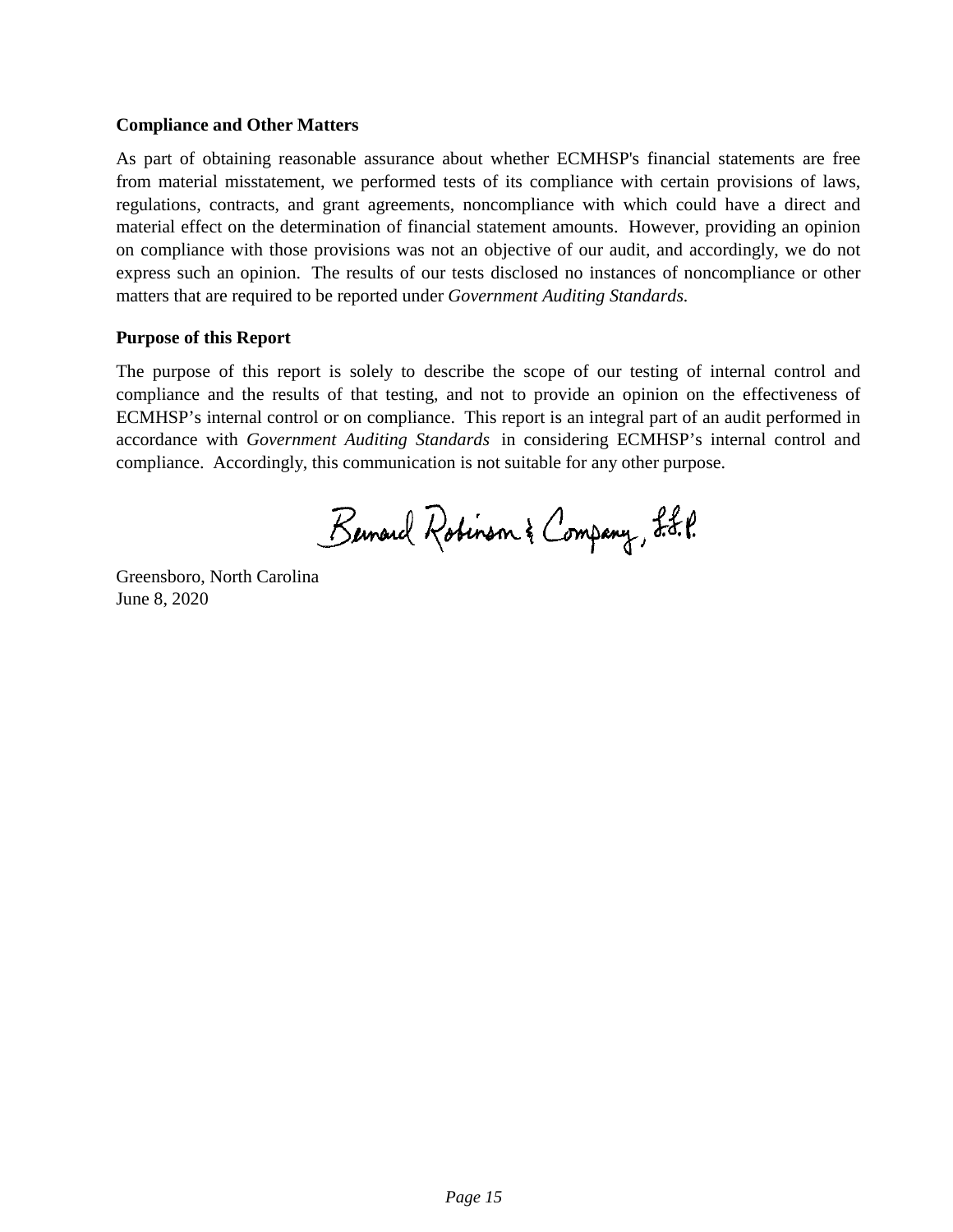## **Compliance and Other Matters**

As part of obtaining reasonable assurance about whether ECMHSP's financial statements are free from material misstatement, we performed tests of its compliance with certain provisions of laws, regulations, contracts, and grant agreements, noncompliance with which could have a direct and material effect on the determination of financial statement amounts. However, providing an opinion on compliance with those provisions was not an objective of our audit, and accordingly, we do not express such an opinion. The results of our tests disclosed no instances of noncompliance or other matters that are required to be reported under *Government Auditing Standards.*

# **Purpose of this Report**

The purpose of this report is solely to describe the scope of our testing of internal control and compliance and the results of that testing, and not to provide an opinion on the effectiveness of ECMHSP's internal control or on compliance. This report is an integral part of an audit performed in accordance with *Government Auditing Standards* in considering ECMHSP's internal control and compliance. Accordingly, this communication is not suitable for any other purpose.

Bernard Robinson & Company, L.L.P.

Greensboro, North Carolina June 8, 2020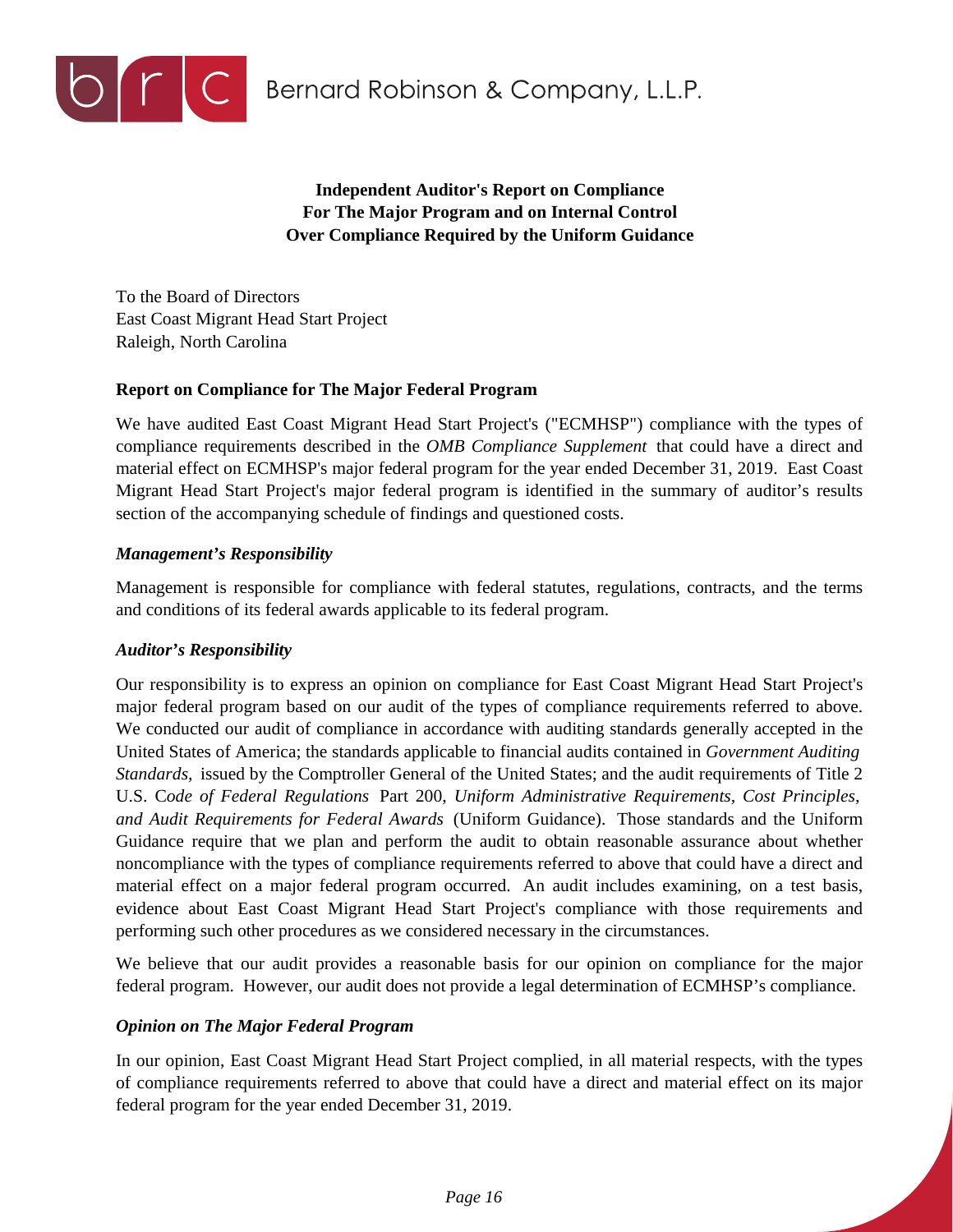

**O C** Bernard Robinson & Company, L.L.P.

**Independent Auditor's Report on Compliance For The Major Program and on Internal Control Over Compliance Required by the Uniform Guidance**

To the Board of Directors East Coast Migrant Head Start Project Raleigh, North Carolina

# **Report on Compliance for The Major Federal Program**

We have audited East Coast Migrant Head Start Project's ("ECMHSP") compliance with the types of compliance requirements described in the *OMB Compliance Supplement* that could have a direct and material effect on ECMHSP's major federal program for the year ended December 31, 2019. East Coast Migrant Head Start Project's major federal program is identified in the summary of auditor's results section of the accompanying schedule of findings and questioned costs.

## *Management's Responsibility*

Management is responsible for compliance with federal statutes, regulations, contracts, and the terms and conditions of its federal awards applicable to its federal program.

#### *Auditor's Responsibility*

Our responsibility is to express an opinion on compliance for East Coast Migrant Head Start Project's major federal program based on our audit of the types of compliance requirements referred to above. We conducted our audit of compliance in accordance with auditing standards generally accepted in the United States of America; the standards applicable to financial audits contained in *Government Auditing Standards,* issued by the Comptroller General of the United States; and the audit requirements of Title 2 U.S. C*ode of Federal Regulations* Part 200, *Uniform Administrative Requirements, Cost Principles, and Audit Requirements for Federal Awards* (Uniform Guidance). Those standards and the Uniform Guidance require that we plan and perform the audit to obtain reasonable assurance about whether noncompliance with the types of compliance requirements referred to above that could have a direct and material effect on a major federal program occurred. An audit includes examining, on a test basis, evidence about East Coast Migrant Head Start Project's compliance with those requirements and performing such other procedures as we considered necessary in the circumstances.

We believe that our audit provides a reasonable basis for our opinion on compliance for the major federal program. However, our audit does not provide a legal determination of ECMHSP's compliance.

# *Opinion on The Major Federal Program*

In our opinion, East Coast Migrant Head Start Project complied, in all material respects, with the types of compliance requirements referred to above that could have a direct and material effect on its major federal program for the year ended December 31, 2019.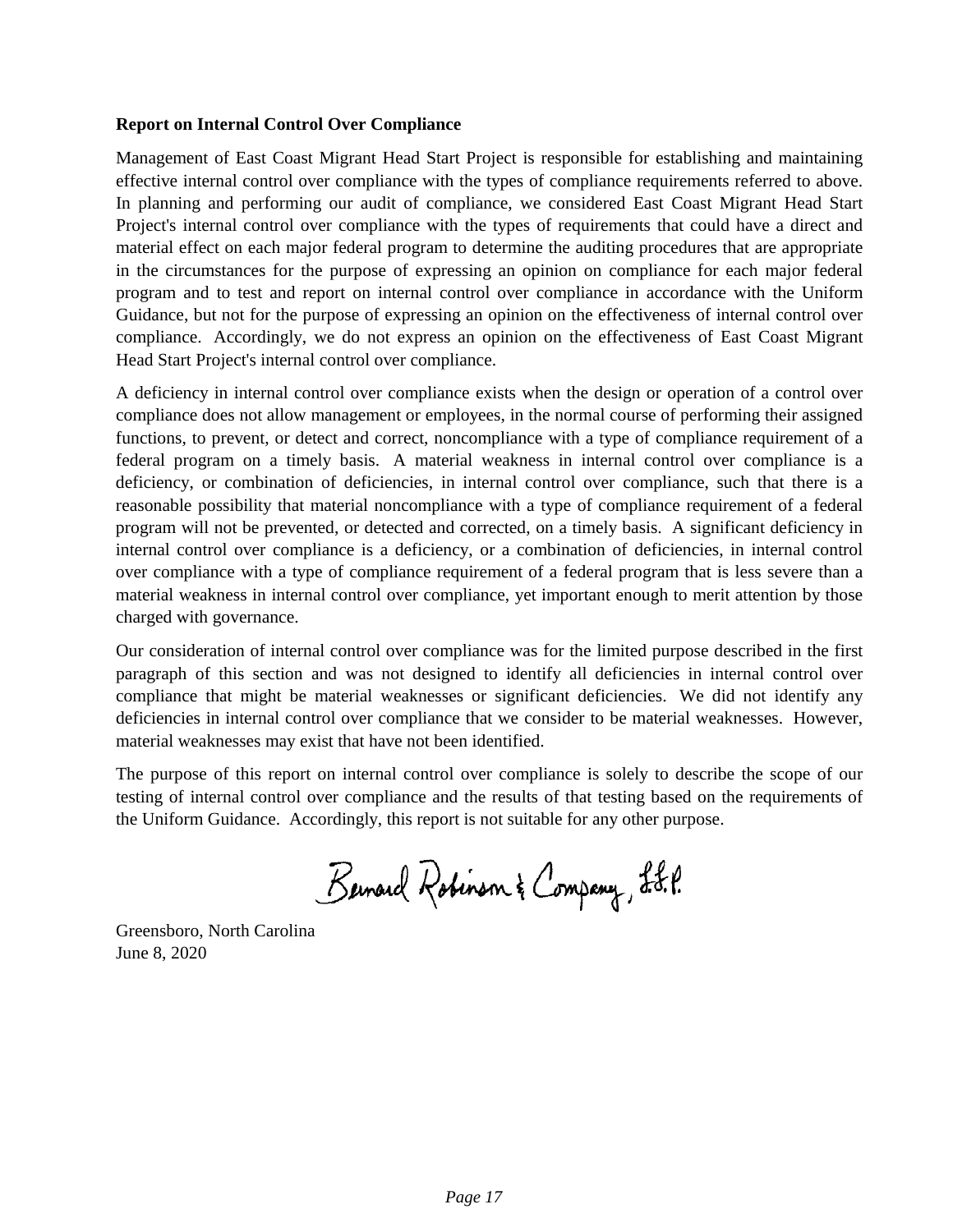## **Report on Internal Control Over Compliance**

Management of East Coast Migrant Head Start Project is responsible for establishing and maintaining effective internal control over compliance with the types of compliance requirements referred to above. In planning and performing our audit of compliance, we considered East Coast Migrant Head Start Project's internal control over compliance with the types of requirements that could have a direct and material effect on each major federal program to determine the auditing procedures that are appropriate in the circumstances for the purpose of expressing an opinion on compliance for each major federal program and to test and report on internal control over compliance in accordance with the Uniform Guidance, but not for the purpose of expressing an opinion on the effectiveness of internal control over compliance. Accordingly, we do not express an opinion on the effectiveness of East Coast Migrant Head Start Project's internal control over compliance.

A deficiency in internal control over compliance exists when the design or operation of a control over compliance does not allow management or employees, in the normal course of performing their assigned functions, to prevent, or detect and correct, noncompliance with a type of compliance requirement of a federal program on a timely basis. A material weakness in internal control over compliance is a deficiency, or combination of deficiencies, in internal control over compliance, such that there is a reasonable possibility that material noncompliance with a type of compliance requirement of a federal program will not be prevented, or detected and corrected, on a timely basis. A significant deficiency in internal control over compliance is a deficiency, or a combination of deficiencies, in internal control over compliance with a type of compliance requirement of a federal program that is less severe than a material weakness in internal control over compliance, yet important enough to merit attention by those charged with governance.

Our consideration of internal control over compliance was for the limited purpose described in the first paragraph of this section and was not designed to identify all deficiencies in internal control over compliance that might be material weaknesses or significant deficiencies. We did not identify any deficiencies in internal control over compliance that we consider to be material weaknesses. However, material weaknesses may exist that have not been identified.

The purpose of this report on internal control over compliance is solely to describe the scope of our testing of internal control over compliance and the results of that testing based on the requirements of the Uniform Guidance. Accordingly, this report is not suitable for any other purpose.

Bernard Robinson & Company, L.J.P.

Greensboro, North Carolina June 8, 2020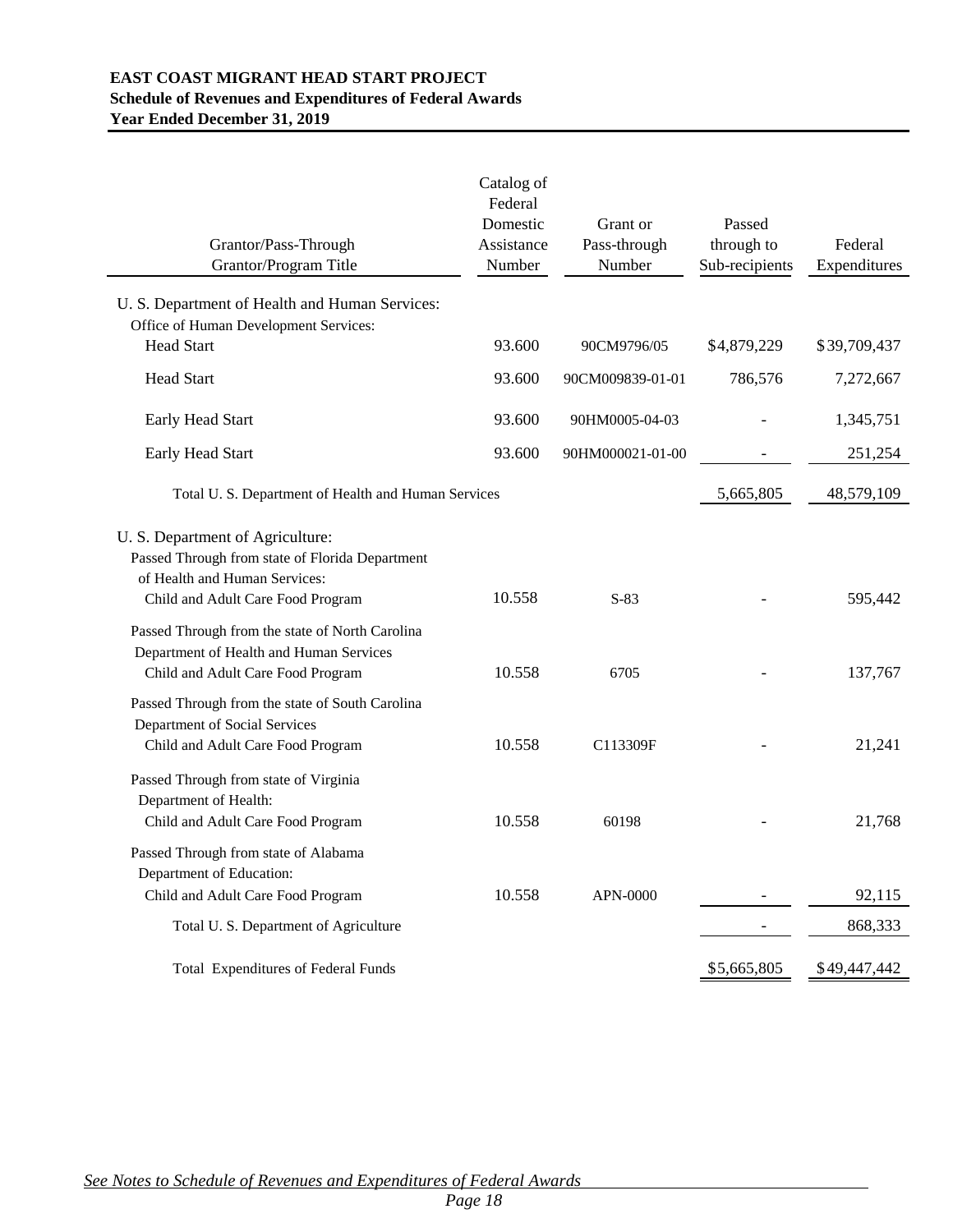## **EAST COAST MIGRANT HEAD START PROJECT Schedule of Revenues and Expenditures of Federal Awards Year Ended December 31, 2019**

| Grantor/Pass-Through<br>Grantor/Program Title                                                                                                                        | Catalog of<br>Federal<br>Domestic<br>Assistance<br>Number | Grant or<br>Pass-through<br>Number | Passed<br>through to<br>Sub-recipients | Federal<br>Expenditures |
|----------------------------------------------------------------------------------------------------------------------------------------------------------------------|-----------------------------------------------------------|------------------------------------|----------------------------------------|-------------------------|
| U. S. Department of Health and Human Services:                                                                                                                       |                                                           |                                    |                                        |                         |
| Office of Human Development Services:<br><b>Head Start</b>                                                                                                           | 93.600                                                    | 90CM9796/05                        | \$4,879,229                            | \$39,709,437            |
| <b>Head Start</b>                                                                                                                                                    | 93.600                                                    | 90CM009839-01-01                   | 786,576                                | 7,272,667               |
| Early Head Start                                                                                                                                                     | 93.600                                                    | 90HM0005-04-03                     |                                        | 1,345,751               |
| Early Head Start                                                                                                                                                     | 93.600                                                    | 90HM000021-01-00                   |                                        | 251,254                 |
| Total U.S. Department of Health and Human Services                                                                                                                   |                                                           |                                    | 5,665,805                              | 48,579,109              |
| U. S. Department of Agriculture:<br>Passed Through from state of Florida Department<br>of Health and Human Services:                                                 |                                                           |                                    |                                        |                         |
| Child and Adult Care Food Program<br>Passed Through from the state of North Carolina<br>Department of Health and Human Services<br>Child and Adult Care Food Program | 10.558<br>10.558                                          | $S-83$<br>6705                     |                                        | 595,442<br>137,767      |
| Passed Through from the state of South Carolina<br>Department of Social Services<br>Child and Adult Care Food Program                                                | 10.558                                                    | C113309F                           |                                        | 21,241                  |
| Passed Through from state of Virginia<br>Department of Health:<br>Child and Adult Care Food Program                                                                  | 10.558                                                    | 60198                              |                                        | 21,768                  |
| Passed Through from state of Alabama<br>Department of Education:<br>Child and Adult Care Food Program                                                                | 10.558                                                    | APN-0000                           |                                        | 92,115                  |
| Total U.S. Department of Agriculture                                                                                                                                 |                                                           |                                    |                                        | 868,333                 |
| <b>Total Expenditures of Federal Funds</b>                                                                                                                           |                                                           |                                    | \$5,665,805                            | \$49,447,442            |

*See Notes to Schedule of Revenues and Expenditures of Federal Awards*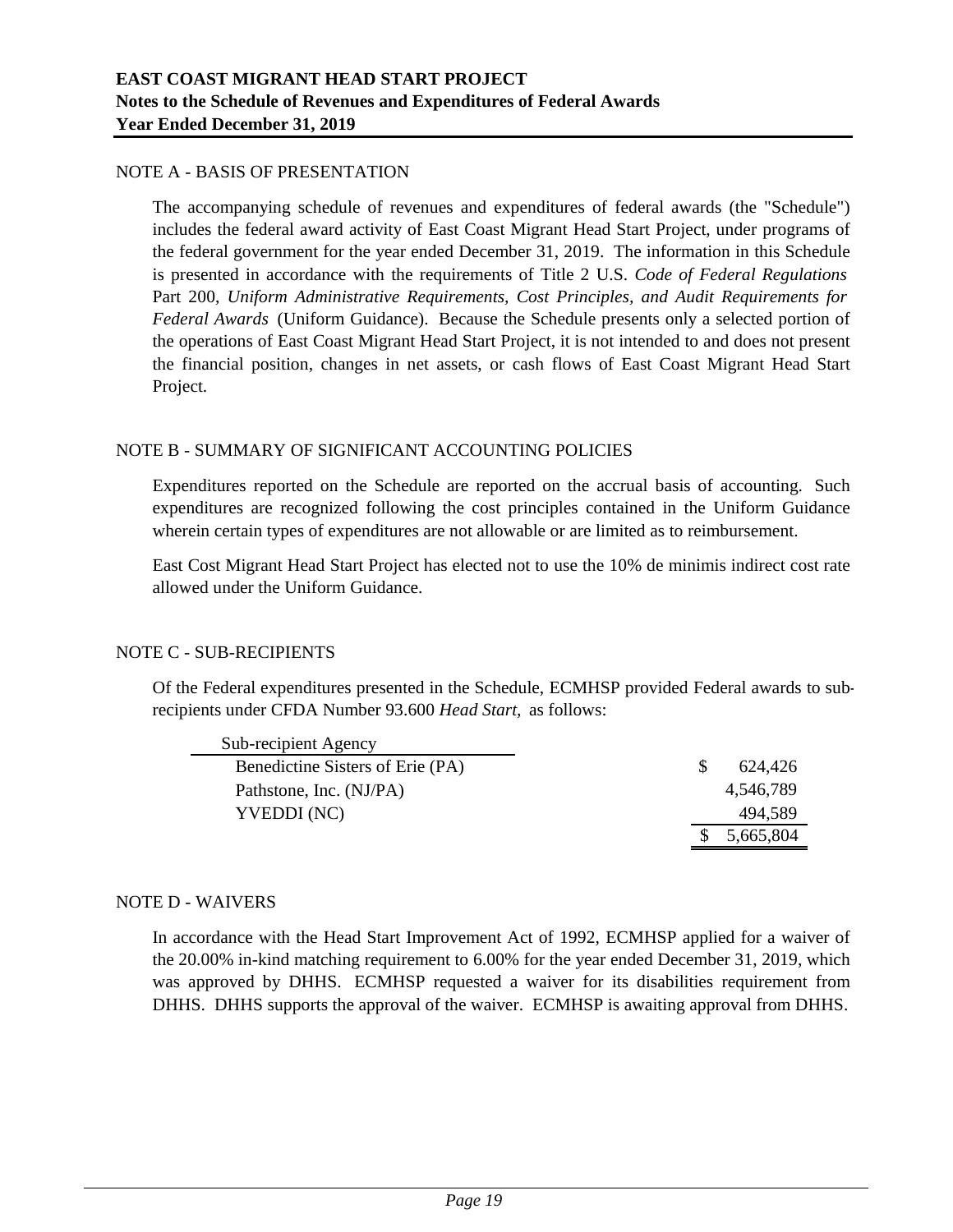## NOTE A - BASIS OF PRESENTATION

The accompanying schedule of revenues and expenditures of federal awards (the "Schedule") includes the federal award activity of East Coast Migrant Head Start Project, under programs of the federal government for the year ended December 31, 2019. The information in this Schedule is presented in accordance with the requirements of Title 2 U.S. *Code of Federal Regulations* Part 200, *Uniform Administrative Requirements, Cost Principles, and Audit Requirements for Federal Awards* (Uniform Guidance). Because the Schedule presents only a selected portion of the operations of East Coast Migrant Head Start Project, it is not intended to and does not present the financial position, changes in net assets, or cash flows of East Coast Migrant Head Start Project.

# NOTE B - SUMMARY OF SIGNIFICANT ACCOUNTING POLICIES

Expenditures reported on the Schedule are reported on the accrual basis of accounting. Such expenditures are recognized following the cost principles contained in the Uniform Guidance wherein certain types of expenditures are not allowable or are limited as to reimbursement.

East Cost Migrant Head Start Project has elected not to use the 10% de minimis indirect cost rate allowed under the Uniform Guidance.

# NOTE C - SUB-RECIPIENTS

Of the Federal expenditures presented in the Schedule, ECMHSP provided Federal awards to subrecipients under CFDA Number 93.600 *Head Start,* as follows:

| Sub-recipient Agency             |           |
|----------------------------------|-----------|
| Benedictine Sisters of Erie (PA) | 624.426   |
| Pathstone, Inc. (NJ/PA)          | 4.546.789 |
| YVEDDI (NC)                      | 494,589   |
|                                  | 5,665,804 |

#### NOTE D - WAIVERS

In accordance with the Head Start Improvement Act of 1992, ECMHSP applied for a waiver of the 20.00% in-kind matching requirement to 6.00% for the year ended December 31, 2019, which was approved by DHHS. ECMHSP requested a waiver for its disabilities requirement from DHHS. DHHS supports the approval of the waiver. ECMHSP is awaiting approval from DHHS.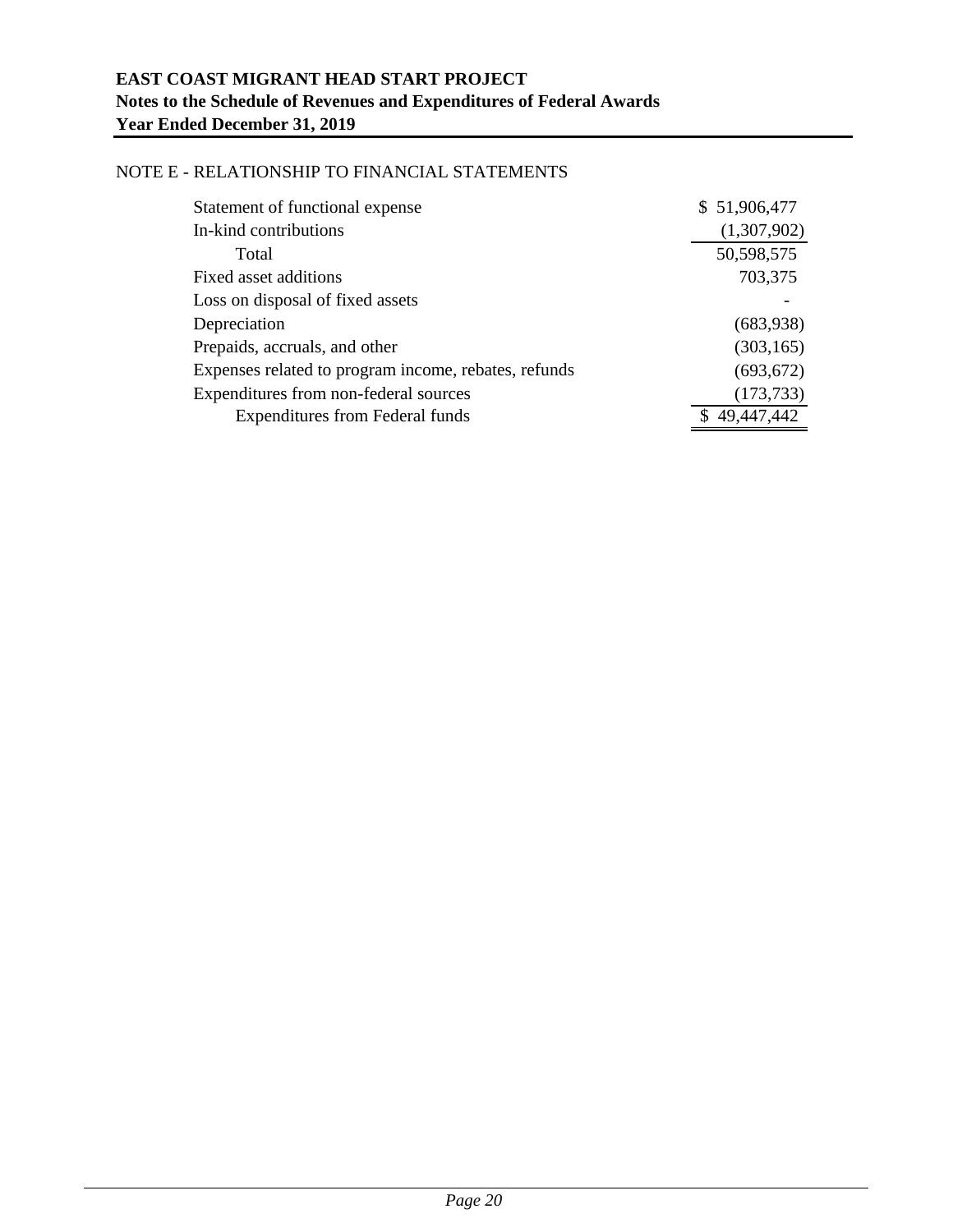## NOTE E - RELATIONSHIP TO FINANCIAL STATEMENTS

| Statement of functional expense                      | \$51,906,477 |
|------------------------------------------------------|--------------|
| In-kind contributions                                | (1,307,902)  |
| Total                                                | 50,598,575   |
| Fixed asset additions                                | 703,375      |
| Loss on disposal of fixed assets                     |              |
| Depreciation                                         | (683,938)    |
| Prepaids, accruals, and other                        | (303, 165)   |
| Expenses related to program income, rebates, refunds | (693, 672)   |
| Expenditures from non-federal sources                | (173, 733)   |
| <b>Expenditures from Federal funds</b>               | 49,447,442   |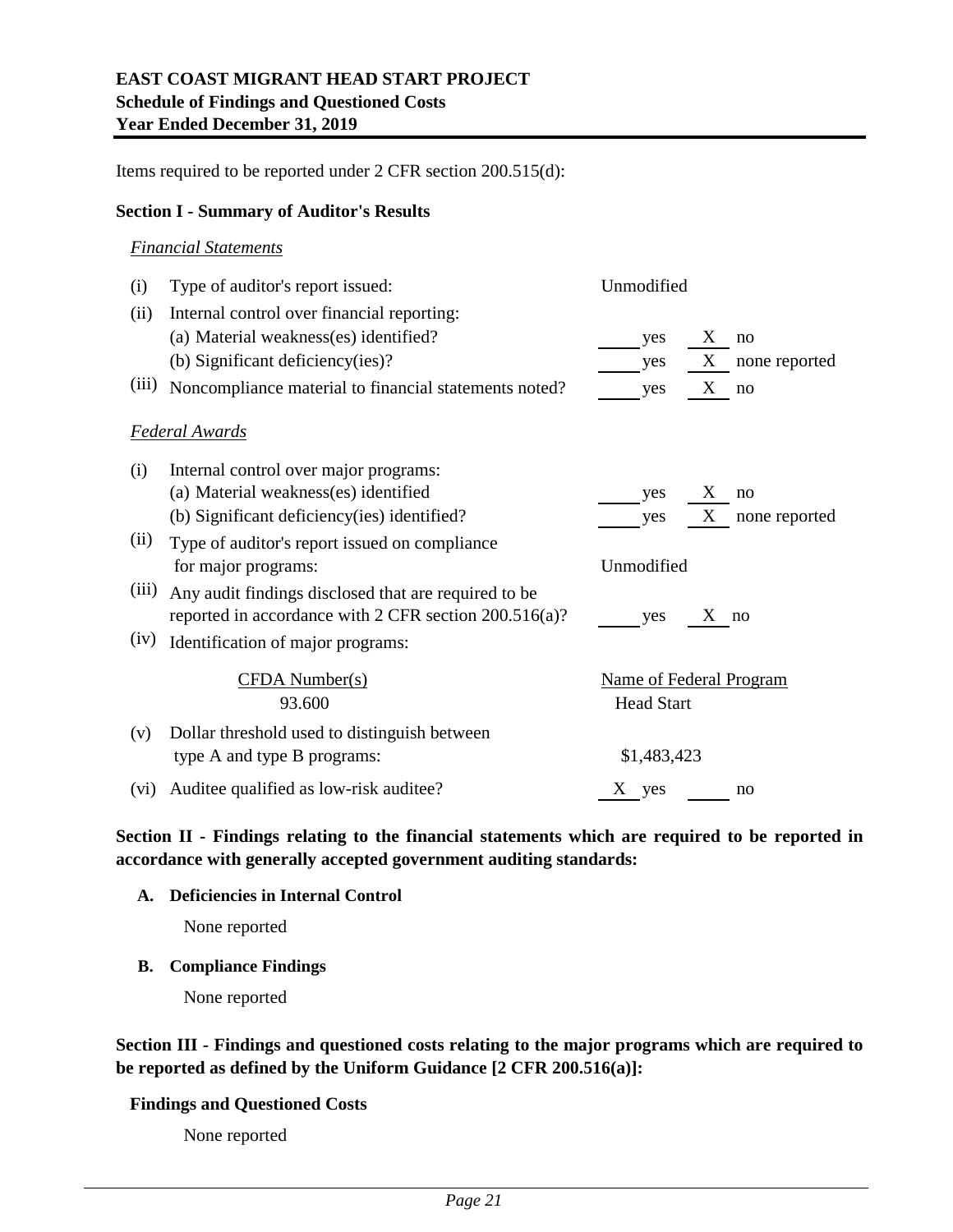Items required to be reported under 2 CFR section 200.515(d):

### **Section I - Summary of Auditor's Results**

#### *Financial Statements*

| (i)   | Type of auditor's report issued:                         | Unmodified                     |                    |
|-------|----------------------------------------------------------|--------------------------------|--------------------|
| (ii)  | Internal control over financial reporting:               |                                |                    |
|       | (a) Material weakness(es) identified?                    | yes                            | X<br>no            |
|       | (b) Significant deficiency(ies)?                         | yes                            | X<br>none reported |
| (iii) | Noncompliance material to financial statements noted?    | yes                            | X<br>no            |
|       | <b>Federal Awards</b>                                    |                                |                    |
| (i)   | Internal control over major programs:                    |                                |                    |
|       | (a) Material weakness(es) identified                     | yes                            | X<br>no            |
|       | (b) Significant deficiency (ies) identified?             | yes                            | X<br>none reported |
| (ii)  | Type of auditor's report issued on compliance            |                                |                    |
|       | for major programs:                                      | Unmodified                     |                    |
| (iii) | Any audit findings disclosed that are required to be     |                                |                    |
|       | reported in accordance with 2 CFR section $200.516(a)$ ? | yes                            | $X_{-}$<br>no      |
| (iv)  | Identification of major programs:                        |                                |                    |
|       | <b>CFDA Number(s)</b>                                    | <b>Name of Federal Program</b> |                    |
|       | 93.600                                                   | <b>Head Start</b>              |                    |
| (v)   | Dollar threshold used to distinguish between             |                                |                    |
|       | type A and type B programs:                              | \$1,483,423                    |                    |
| (vi)  | Auditee qualified as low-risk auditee?                   | $\mathbf X$<br>yes             | no                 |

**Section II - Findings relating to the financial statements which are required to be reported in accordance with generally accepted government auditing standards:**

#### **A. Deficiencies in Internal Control**

None reported

# **B. Compliance Findings**

None reported

**Section III - Findings and questioned costs relating to the major programs which are required to be reported as defined by the Uniform Guidance [2 CFR 200.516(a)]:**

### **Findings and Questioned Costs**

None reported